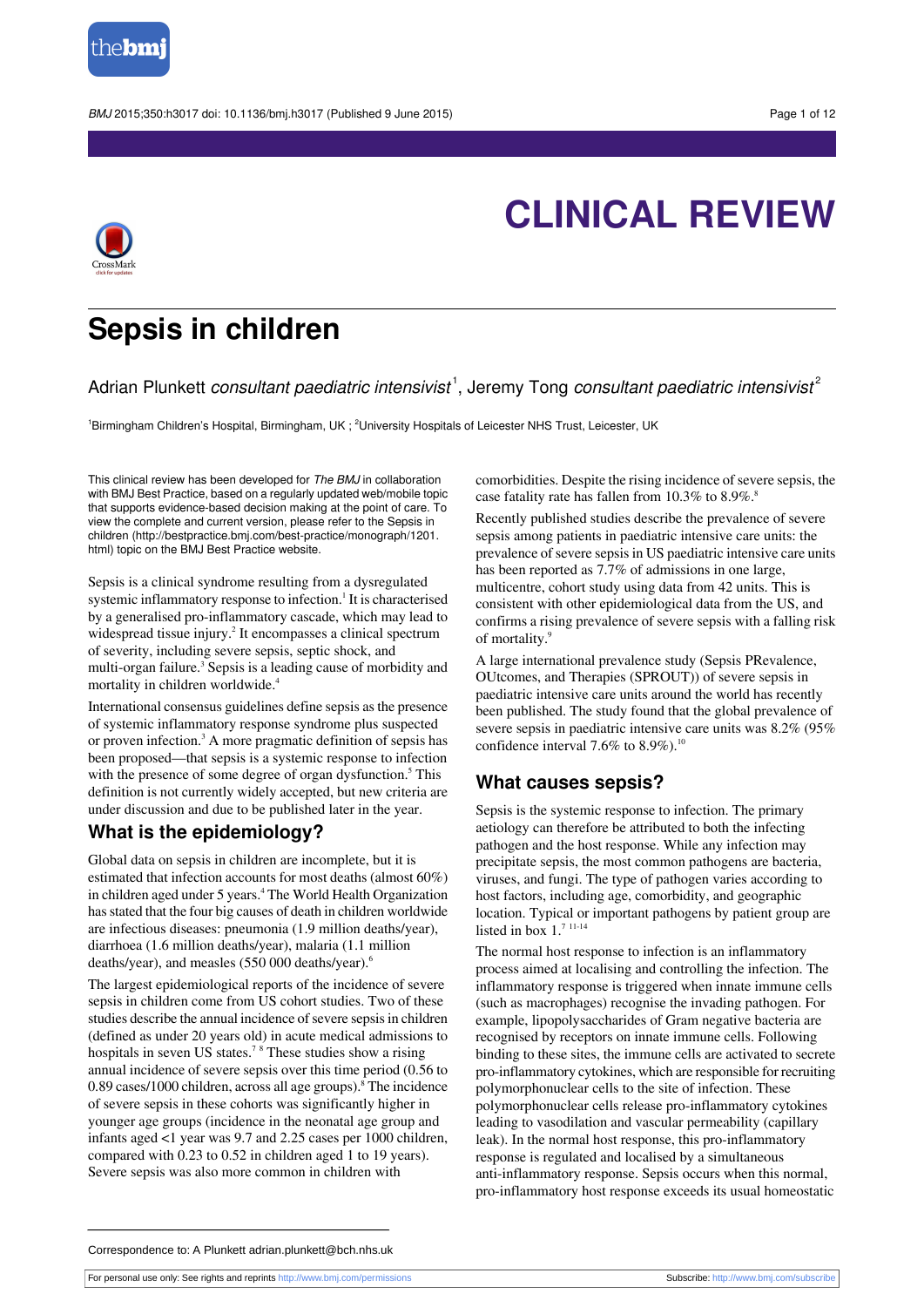

BMJ 2015:350:h3017 doi: 10.1136/bmi.h3017 (Published 9 June 2015) Page 1 of 12



# **CLINICAL REVIEW**

# **Sepsis in children**

Adrian Plunkett *consultant paediatric intensivist*  $^1$ , Jeremy Tong *consultant paediatric intensivist* $^2$ 

<sup>1</sup>Birmingham Children's Hospital, Birmingham, UK ; <sup>2</sup>University Hospitals of Leicester NHS Trust, Leicester, UK

This clinical review has been developed for The BMJ in collaboration with BMJ Best Practice, based on a regularly updated web/mobile topic that supports evidence-based decision making at the point of care. To view the complete and current version, please refer to the Sepsis in children ([http://bestpractice.bmj.com/best-practice/monograph/1201.](http://bestpractice.bmj.com/best-practice/monograph/1201.html) [html\)](http://bestpractice.bmj.com/best-practice/monograph/1201.html) topic on the BMJ Best Practice website.

Sepsis is a clinical syndrome resulting from a dysregulated systemic inflammatory response to infection.<sup>1</sup> It is characterised by a generalised pro-inflammatory cascade, which may lead to widespread tissue injury.<sup>2</sup> It encompasses a clinical spectrum of severity, including severe sepsis, septic shock, and multi-organ failure.<sup>3</sup> Sepsis is a leading cause of morbidity and mortality in children worldwide.<sup>4</sup>

International consensus guidelines define sepsis as the presence of systemic inflammatory response syndrome plus suspected or proven infection.<sup>3</sup> A more pragmatic definition of sepsis has been proposed—that sepsis is a systemic response to infection with the presence of some degree of organ dysfunction.<sup>5</sup> This definition is not currently widely accepted, but new criteria are under discussion and due to be published later in the year.

# **What is the epidemiology?**

Global data on sepsis in children are incomplete, but it is estimated that infection accounts for most deaths (almost 60%) in children aged under 5 years.<sup>4</sup> The World Health Organization hasstated that the four big causes of death in children worldwide are infectious diseases: pneumonia (1.9 million deaths/year), diarrhoea (1.6 million deaths/year), malaria (1.1 million deaths/year), and measles (550 000 deaths/year).<sup>6</sup>

The largest epidemiological reports of the incidence of severe sepsis in children come from US cohort studies. Two of these studies describe the annual incidence of severe sepsis in children (defined as under 20 years old) in acute medical admissions to hospitals in seven US states.<sup>7 8</sup> These studies show a rising annual incidence of severe sepsis over this time period (0.56 to  $0.89$  cases/1000 children, across all age groups).<sup>8</sup> The incidence of severe sepsis in these cohorts was significantly higher in younger age groups (incidence in the neonatal age group and infants aged <1 year was 9.7 and 2.25 cases per 1000 children, compared with 0.23 to 0.52 in children aged 1 to 19 years). Severe sepsis was also more common in children with

comorbidities. Despite the rising incidence of severe sepsis, the case fatality rate has fallen from  $10.3\%$  to  $8.9\%$ .<sup>8</sup>

Recently published studies describe the prevalence of severe sepsis among patients in paediatric intensive care units: the prevalence of severe sepsis in US paediatric intensive care units has been reported as 7.7% of admissions in one large, multicentre, cohort study using data from 42 units. This is consistent with other epidemiological data from the US, and confirms a rising prevalence of severe sepsis with a falling risk of mortality.<sup>9</sup>

A large international prevalence study (Sepsis PRevalence, OUtcomes, and Therapies (SPROUT)) of severe sepsis in paediatric intensive care units around the world has recently been published. The study found that the global prevalence of severe sepsis in paediatric intensive care units was 8.2% (95% confidence interval 7.6% to 8.9%).<sup>10</sup>

# **What causes sepsis?**

Sepsis is the systemic response to infection. The primary aetiology can therefore be attributed to both the infecting pathogen and the host response. While any infection may precipitate sepsis, the most common pathogens are bacteria, viruses, and fungi. The type of pathogen varies according to host factors, including age, comorbidity, and geographic location. Typical or important pathogens by patient group are listed in box  $1.^{7}$  11-14

The normal host response to infection is an inflammatory process aimed at localising and controlling the infection. The inflammatory response is triggered when innate immune cells (such as macrophages) recognise the invading pathogen. For example, lipopolysaccharides of Gram negative bacteria are recognised by receptors on innate immune cells. Following binding to these sites, the immune cells are activated to secrete pro-inflammatory cytokines, which are responsible for recruiting polymorphonuclear cells to the site of infection. These polymorphonuclear cells release pro-inflammatory cytokines leading to vasodilation and vascular permeability (capillary leak). In the normal host response, this pro-inflammatory response is regulated and localised by a simultaneous anti-inflammatory response. Sepsis occurs when this normal, pro-inflammatory host response exceeds its usual homeostatic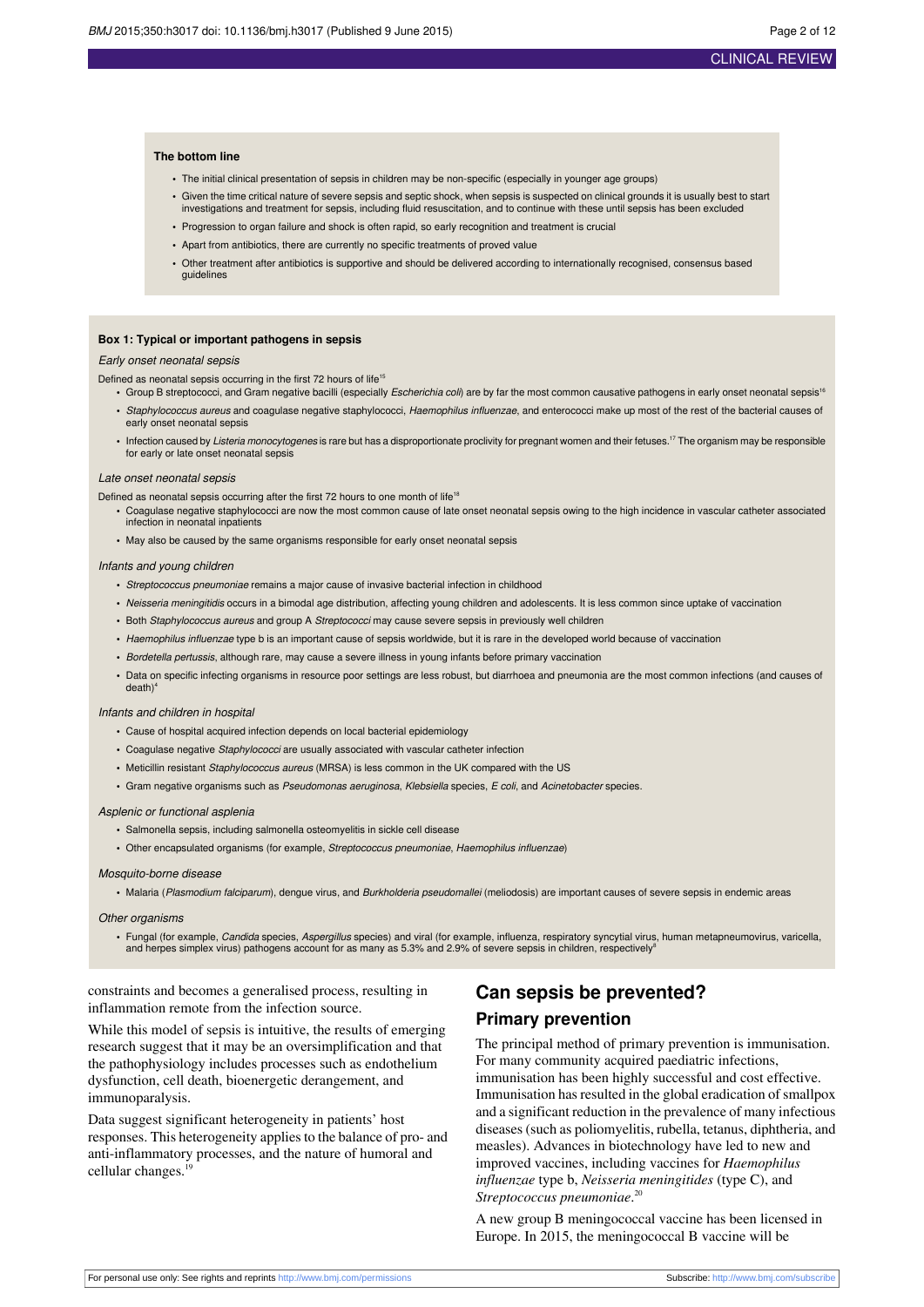#### **The bottom line**

- **•** The initial clinical presentation of sepsis in children may be non-specific (especially in younger age groups)
- **•** Given the time critical nature of severe sepsis and septic shock, when sepsis is suspected on clinical grounds it is usually best to start investigations and treatment for sepsis, including fluid resuscitation, and to continue with these until sepsis has been excluded
- **•** Progression to organ failure and shock is often rapid, so early recognition and treatment is crucial
- **•** Apart from antibiotics, there are currently no specific treatments of proved value
- **•** Other treatment after antibiotics is supportive and should be delivered according to internationally recognised, consensus based guidelines

#### **Box 1: Typical or important pathogens in sepsis**

#### Early onset neonatal sepsis

Defined as neonatal sepsis occurring in the first 72 hours of life<sup>15</sup>

- Group B streptococci, and Gram negative bacilli (especially Escherichia coli) are by far the most common causative pathogens in early onset neonatal sepsis<sup>16</sup>
- Staphylococcus aureus and coagulase negative staphylococci. Haemophilus influenzae, and enterococci make up most of the rest of the bacterial causes of early onset neonatal sepsis
- **•** Infection caused by Listeria monocytogenes is rare but has a disproportionate proclivity for pregnant women and their fetuses.<sup>17</sup> The organism may be responsible for early or late onset neonatal sepsis

#### Late onset neonatal sepsis

Defined as neonatal sepsis occurring after the first 72 hours to one month of life<sup>18</sup>

- Coagulase negative staphylococci are now the most common cause of late onset neonatal sepsis owing to the high incidence in vascular catheter associated infection in neonatal inpatients
- **•** May also be caused by the same organisms responsible for early onset neonatal sepsis

#### Infants and young children

- **•** Streptococcus pneumoniae remains a major cause of invasive bacterial infection in childhood
- **•** Neisseria meningitidis occurs in a bimodal age distribution, affecting young children and adolescents. It is less common since uptake of vaccination
- **•** Both Staphylococcus aureus and group A Streptococci may cause severe sepsis in previously well children
- **•** Haemophilus influenzae type b is an important cause of sepsis worldwide, but it is rare in the developed world because of vaccination
- **•** Bordetella pertussis, although rare, may cause a severe illness in young infants before primary vaccination
- **•** Data on specific infecting organisms in resource poor settings are less robust, but diarrhoea and pneumonia are the most common infections (and causes of death)

#### Infants and children in hospital

- **•** Cause of hospital acquired infection depends on local bacterial epidemiology
- **•** Coagulase negative Staphylococci are usually associated with vascular catheter infection
- **•** Meticillin resistant Staphylococcus aureus (MRSA) is less common in the UK compared with the US
- **•** Gram negative organisms such as Pseudomonas aeruginosa, Klebsiella species, E coli, and Acinetobacter species.

#### Asplenic or functional asplenia

- **•** Salmonella sepsis, including salmonella osteomyelitis in sickle cell disease
- **•** Other encapsulated organisms (for example, Streptococcus pneumoniae, Haemophilus influenzae)

#### Mosquito-borne disease

**•** Malaria (Plasmodium falciparum), dengue virus, and Burkholderia pseudomallei (meliodosis) are important causes of severe sepsis in endemic areas

#### Other organisms

**•** Fungal (for example, Candida species, Aspergillus species) and viral (for example, influenza, respiratory syncytial virus, human metapneumovirus, varicella, and herpes simplex virus) pathogens account for as many as 5.3% and 2.9% of severe sepsis in children, respectively

constraints and becomes a generalised process, resulting in inflammation remote from the infection source.

While this model of sepsis is intuitive, the results of emerging research suggest that it may be an oversimplification and that the pathophysiology includes processes such as endothelium dysfunction, cell death, bioenergetic derangement, and immunoparalysis.

Data suggest significant heterogeneity in patients' host responses. This heterogeneity applies to the balance of pro- and anti-inflammatory processes, and the nature of humoral and cellular changes.<sup>19</sup>

# **Can sepsis be prevented? Primary prevention**

The principal method of primary prevention is immunisation. For many community acquired paediatric infections, immunisation has been highly successful and cost effective. Immunisation has resulted in the global eradication of smallpox and a significant reduction in the prevalence of many infectious diseases (such as poliomyelitis, rubella, tetanus, diphtheria, and measles). Advances in biotechnology have led to new and improved vaccines, including vaccines for *Haemophilus influenzae* type b, *Neisseria meningitides* (type C), and *Streptococcus pneumoniae*. 20

A new group B meningococcal vaccine has been licensed in Europe. In 2015, the meningococcal B vaccine will be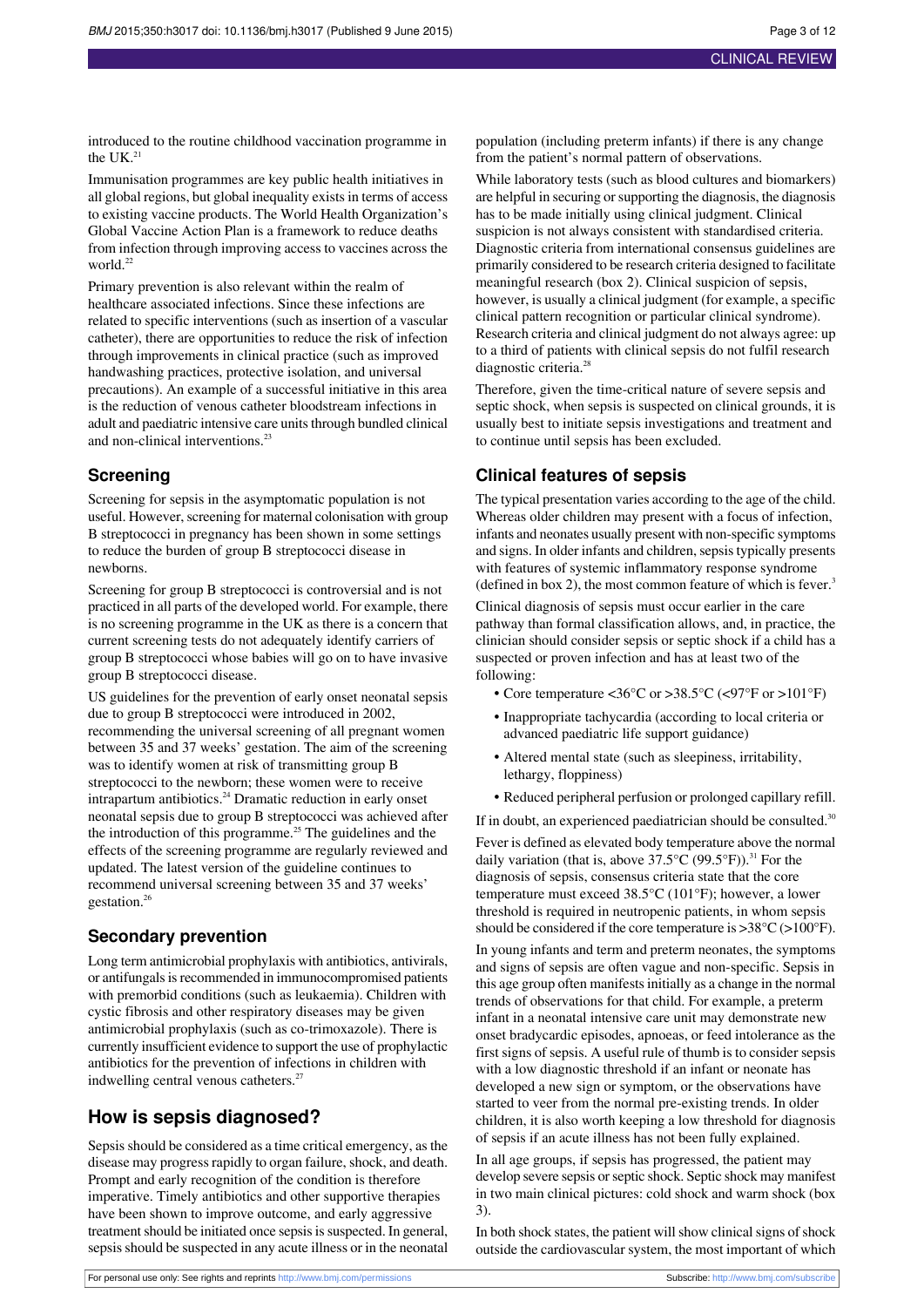introduced to the routine childhood vaccination programme in the  $UK.<sup>21</sup>$ 

Immunisation programmes are key public health initiatives in all global regions, but global inequality exists in terms of access to existing vaccine products. The World Health Organization's Global Vaccine Action Plan is a framework to reduce deaths from infection through improving access to vaccines across the world.<sup>22</sup>

Primary prevention is also relevant within the realm of healthcare associated infections. Since these infections are related to specific interventions (such as insertion of a vascular catheter), there are opportunities to reduce the risk of infection through improvements in clinical practice (such as improved handwashing practices, protective isolation, and universal precautions). An example of a successful initiative in this area is the reduction of venous catheter bloodstream infections in adult and paediatric intensive care units through bundled clinical and non-clinical interventions.<sup>23</sup>

# **Screening**

Screening for sepsis in the asymptomatic population is not useful. However, screening for maternal colonisation with group B streptococci in pregnancy has been shown in some settings to reduce the burden of group B streptococci disease in newborns.

Screening for group B streptococci is controversial and is not practiced in all parts of the developed world. For example, there is no screening programme in the UK as there is a concern that current screening tests do not adequately identify carriers of group B streptococci whose babies will go on to have invasive group B streptococci disease.

US guidelines for the prevention of early onset neonatal sepsis due to group B streptococci were introduced in 2002, recommending the universal screening of all pregnant women between 35 and 37 weeks' gestation. The aim of the screening was to identify women at risk of transmitting group B streptococci to the newborn; these women were to receive intrapartum antibiotics.<sup>24</sup> Dramatic reduction in early onset neonatal sepsis due to group B streptococci was achieved after the introduction of this programme.<sup>25</sup> The guidelines and the effects of the screening programme are regularly reviewed and updated. The latest version of the guideline continues to recommend universal screening between 35 and 37 weeks' gestation.<sup>26</sup>

# **Secondary prevention**

Long term antimicrobial prophylaxis with antibiotics, antivirals, or antifungals is recommended in immunocompromised patients with premorbid conditions (such as leukaemia). Children with cystic fibrosis and other respiratory diseases may be given antimicrobial prophylaxis (such as co-trimoxazole). There is currently insufficient evidence to support the use of prophylactic antibiotics for the prevention of infections in children with indwelling central venous catheters.<sup>27</sup>

# **How is sepsis diagnosed?**

Sepsis should be considered as a time critical emergency, as the disease may progress rapidly to organ failure, shock, and death. Prompt and early recognition of the condition is therefore imperative. Timely antibiotics and other supportive therapies have been shown to improve outcome, and early aggressive treatment should be initiated once sepsis is suspected. In general, sepsisshould be suspected in any acute illness or in the neonatal population (including preterm infants) if there is any change from the patient's normal pattern of observations.

While laboratory tests (such as blood cultures and biomarkers) are helpful in securing orsupporting the diagnosis, the diagnosis has to be made initially using clinical judgment. Clinical suspicion is not always consistent with standardised criteria. Diagnostic criteria from international consensus guidelines are primarily considered to be research criteria designed to facilitate meaningful research (box 2). Clinical suspicion of sepsis, however, is usually a clinical judgment (for example, a specific clinical pattern recognition or particular clinical syndrome). Research criteria and clinical judgment do not always agree: up to a third of patients with clinical sepsis do not fulfil research diagnostic criteria.<sup>28</sup>

Therefore, given the time-critical nature of severe sepsis and septic shock, when sepsis is suspected on clinical grounds, it is usually best to initiate sepsis investigations and treatment and to continue until sepsis has been excluded.

# **Clinical features of sepsis**

The typical presentation varies according to the age of the child. Whereas older children may present with a focus of infection, infants and neonates usually present with non-specific symptoms and signs. In older infants and children, sepsis typically presents with features of systemic inflammatory response syndrome (defined in box 2), the most common feature of which is fever. $3$ 

Clinical diagnosis of sepsis must occur earlier in the care pathway than formal classification allows, and, in practice, the clinician should consider sepsis or septic shock if a child has a suspected or proven infection and has at least two of the following:

- **•** Core temperature <36°C or >38.5°C (<97°F or >101°F)
- **•** Inappropriate tachycardia (according to local criteria or advanced paediatric life support guidance)
- **•** Altered mental state (such as sleepiness, irritability, lethargy, floppiness)
- **•** Reduced peripheral perfusion or prolonged capillary refill.

If in doubt, an experienced paediatrician should be consulted. $30$ 

Fever is defined as elevated body temperature above the normal daily variation (that is, above  $37.5^{\circ}$ C (99.5°F)).<sup>31</sup> For the diagnosis of sepsis, consensus criteria state that the core temperature must exceed 38.5°C (101°F); however, a lower threshold is required in neutropenic patients, in whom sepsis should be considered if the core temperature is >38°C (>100°F).

In young infants and term and preterm neonates, the symptoms and signs of sepsis are often vague and non-specific. Sepsis in this age group often manifests initially as a change in the normal trends of observations for that child. For example, a preterm infant in a neonatal intensive care unit may demonstrate new onset bradycardic episodes, apnoeas, or feed intolerance as the first signs of sepsis. A useful rule of thumb is to consider sepsis with a low diagnostic threshold if an infant or neonate has developed a new sign or symptom, or the observations have started to veer from the normal pre-existing trends. In older children, it is also worth keeping a low threshold for diagnosis of sepsis if an acute illness has not been fully explained.

In all age groups, if sepsis has progressed, the patient may develop severe sepsis or septic shock. Septic shock may manifest in two main clinical pictures: cold shock and warm shock (box 3).

In both shock states, the patient will show clinical signs of shock outside the cardiovascular system, the most important of which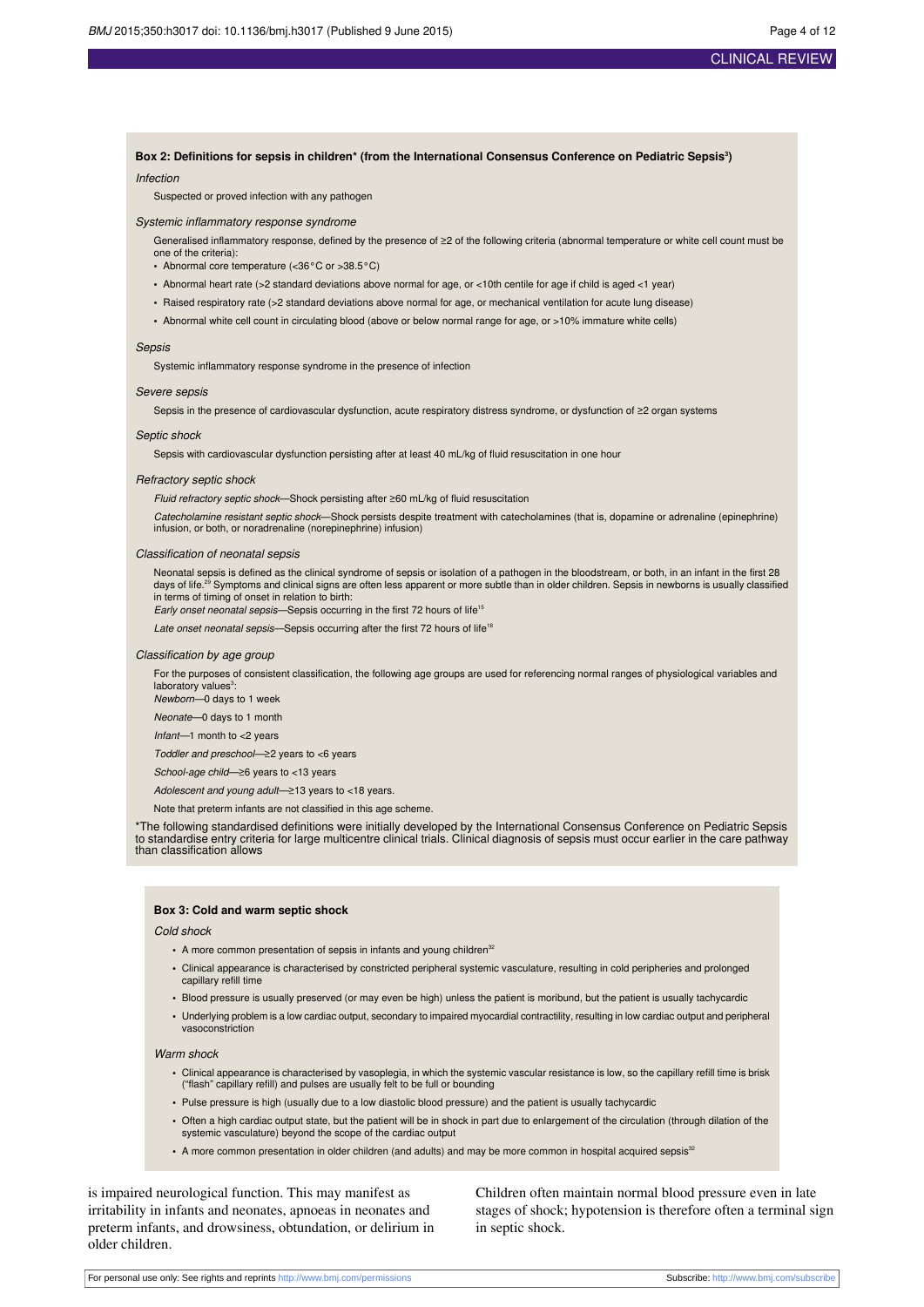# Box 2: Definitions for sepsis in children\* (from the International Consensus Conference on Pediatric Sepsisª)

### Infection

Suspected or proved infection with any pathogen

#### Systemic inflammatory response syndrome

- Generalised inflammatory response, defined by the presence of ≥2 of the following criteria (abnormal temperature or white cell count must be one of the criteria):
- **•** Abnormal core temperature (<36°C or >38.5°C)
- Abnormal heart rate (>2 standard deviations above normal for age, or <10th centile for age if child is aged <1 year)
- **•** Raised respiratory rate (>2 standard deviations above normal for age, or mechanical ventilation for acute lung disease)
- **•** Abnormal white cell count in circulating blood (above or below normal range for age, or >10% immature white cells)

#### **Sepsis**

Systemic inflammatory response syndrome in the presence of infection

#### Severe sepsis

Sepsis in the presence of cardiovascular dysfunction, acute respiratory distress syndrome, or dysfunction of ≥2 organ systems

#### Septic shock

Sepsis with cardiovascular dysfunction persisting after at least 40 mL/kg of fluid resuscitation in one hour

#### Refractory septic shock

Fluid refractory septic shock—Shock persisting after ≥60 mL/kg of fluid resuscitation

Catecholamine resistant septic shock—Shock persists despite treatment with catecholamines (that is, dopamine or adrenaline (epinephrine) infusion, or both, or noradrenaline (norepinephrine) infusion)

#### Classification of neonatal sepsis

Neonatal sepsis is defined as the clinical syndrome of sepsis or isolation of a pathogen in the bloodstream, or both, in an infant in the first 28 days of life.<sup>29</sup> Symptoms and clinical signs are often less apparent or more subtle than in older children. Sepsis in newborns is usually classified in terms of timing of onset in relation to birth:

Early onset neonatal sepsis-Sepsis occurring in the first 72 hours of life<sup>15</sup>

Late onset neonatal sepsis—Sepsis occurring after the first 72 hours of life<sup>18</sup>

#### Classification by age group

For the purposes of consistent classification, the following age groups are used for referencing normal ranges of physiological variables and laboratory values<sup>3</sup>:

Newborn—0 days to 1 week

Neonate—0 days to 1 month

Infant—1 month to <2 years

Toddler and preschool—≥2 years to <6 years

School-age child—≥6 years to <13 years

Adolescent and young adult—≥13 years to <18 years.

Note that preterm infants are not classified in this age scheme.

\*The following standardised definitions were initially developed by the International Consensus Conference on Pediatric Sepsis to standardise entry criteria for large multicentre clinical trials. Clinical diagnosis of sepsis must occur earlier in the care pathway than classification allows

#### **Box 3: Cold and warm septic shock**

Cold shock

- A more common presentation of sepsis in infants and young children<sup>32</sup>
- **•** Clinical appearance is characterised by constricted peripheral systemic vasculature, resulting in cold peripheries and prolonged capillary refill time
- **•** Blood pressure is usually preserved (or may even be high) unless the patient is moribund, but the patient is usually tachycardic
- **•** Underlying problem is a low cardiac output, secondary to impaired myocardial contractility, resulting in low cardiac output and peripheral vasoconstriction

#### Warm shock

- **•** Clinical appearance is characterised by vasoplegia, in which the systemic vascular resistance is low, so the capillary refill time is brisk ("flash" capillary refill) and pulses are usually felt to be full or bounding
- **•** Pulse pressure is high (usually due to a low diastolic blood pressure) and the patient is usually tachycardic
- **•** Often a high cardiac output state, but the patient will be in shock in part due to enlargement of the circulation (through dilation of the systemic vasculature) beyond the scope of the cardiac output
- A more common presentation in older children (and adults) and may be more common in hospital acquired sepsis<sup>32</sup>

is impaired neurological function. This may manifest as irritability in infants and neonates, apnoeas in neonates and preterm infants, and drowsiness, obtundation, or delirium in older children.

Children often maintain normal blood pressure even in late stages of shock; hypotension is therefore often a terminal sign in septic shock.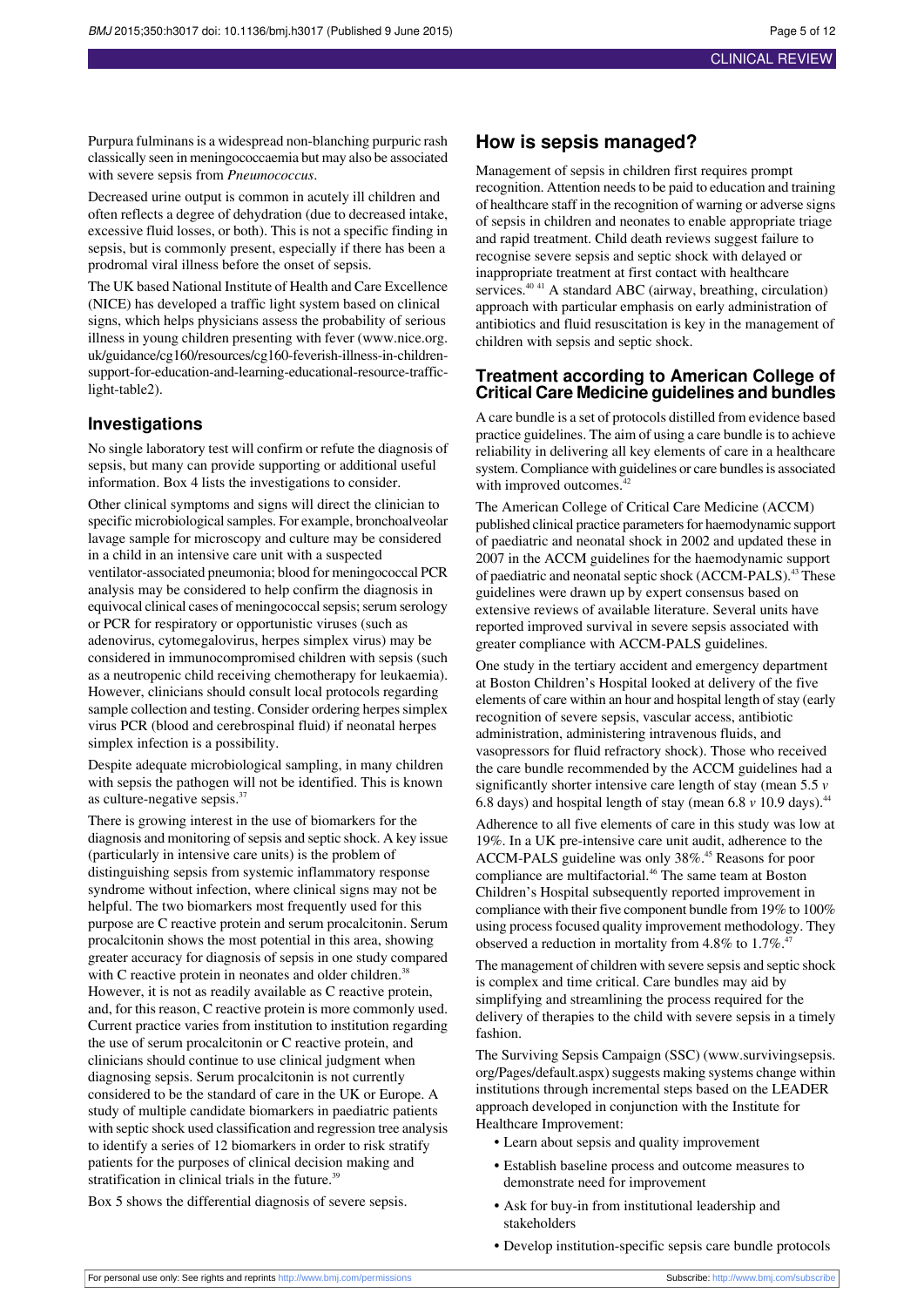Purpura fulminans is a widespread non-blanching purpuric rash classically seen in meningococcaemia but may also be associated with severe sepsis from *Pneumococcus*.

Decreased urine output is common in acutely ill children and often reflects a degree of dehydration (due to decreased intake, excessive fluid losses, or both). This is not a specific finding in sepsis, but is commonly present, especially if there has been a prodromal viral illness before the onset of sepsis.

The UK based National Institute of Health and Care Excellence (NICE) has developed a traffic light system based on clinical signs, which helps physicians assess the probability of serious illness in young children presenting with fever ([www.nice.org.](http://www.nice.org.uk/guidance/cg160/resources/cg160-feverish-illness-in-children-support-for-education-and-learning-educational-resource-traffic-light-table2) [uk/guidance/cg160/resources/cg160-feverish-illness-in-children](http://www.nice.org.uk/guidance/cg160/resources/cg160-feverish-illness-in-children-support-for-education-and-learning-educational-resource-traffic-light-table2)[support-for-education-and-learning-educational-resource-traffic](http://www.nice.org.uk/guidance/cg160/resources/cg160-feverish-illness-in-children-support-for-education-and-learning-educational-resource-traffic-light-table2)[light-table2\)](http://www.nice.org.uk/guidance/cg160/resources/cg160-feverish-illness-in-children-support-for-education-and-learning-educational-resource-traffic-light-table2).

### **Investigations**

No single laboratory test will confirm or refute the diagnosis of sepsis, but many can provide supporting or additional useful information. Box 4 lists the investigations to consider.

Other clinical symptoms and signs will direct the clinician to specific microbiological samples. For example, bronchoalveolar lavage sample for microscopy and culture may be considered in a child in an intensive care unit with a suspected ventilator-associated pneumonia; blood for meningococcal PCR analysis may be considered to help confirm the diagnosis in equivocal clinical cases of meningococcal sepsis; serum serology or PCR for respiratory or opportunistic viruses (such as adenovirus, cytomegalovirus, herpes simplex virus) may be considered in immunocompromised children with sepsis (such as a neutropenic child receiving chemotherapy for leukaemia). However, clinicians should consult local protocols regarding sample collection and testing. Consider ordering herpes simplex virus PCR (blood and cerebrospinal fluid) if neonatal herpes simplex infection is a possibility.

Despite adequate microbiological sampling, in many children with sepsis the pathogen will not be identified. This is known as culture-negative sepsis.<sup>37</sup>

There is growing interest in the use of biomarkers for the diagnosis and monitoring of sepsis and septic shock. A key issue (particularly in intensive care units) is the problem of distinguishing sepsis from systemic inflammatory response syndrome without infection, where clinical signs may not be helpful. The two biomarkers most frequently used for this purpose are C reactive protein and serum procalcitonin. Serum procalcitonin shows the most potential in this area, showing greater accuracy for diagnosis of sepsis in one study compared with C reactive protein in neonates and older children.<sup>31</sup> However, it is not as readily available as C reactive protein, and, for this reason, C reactive protein is more commonly used. Current practice varies from institution to institution regarding the use of serum procalcitonin or C reactive protein, and clinicians should continue to use clinical judgment when diagnosing sepsis. Serum procalcitonin is not currently considered to be the standard of care in the UK or Europe. A study of multiple candidate biomarkers in paediatric patients with septic shock used classification and regression tree analysis to identify a series of 12 biomarkers in order to risk stratify patients for the purposes of clinical decision making and stratification in clinical trials in the future.<sup>39</sup>

Box 5 shows the differential diagnosis of severe sepsis.

# **How is sepsis managed?**

Management of sepsis in children first requires prompt recognition. Attention needs to be paid to education and training of healthcare staff in the recognition of warning or adverse signs of sepsis in children and neonates to enable appropriate triage and rapid treatment. Child death reviews suggest failure to recognise severe sepsis and septic shock with delayed or inappropriate treatment at first contact with healthcare services. $40\,41}$  A standard ABC (airway, breathing, circulation) approach with particular emphasis on early administration of antibiotics and fluid resuscitation is key in the management of children with sepsis and septic shock.

### **Treatment according to American College of Critical Care Medicine guidelines and bundles**

A care bundle is a set of protocols distilled from evidence based practice guidelines. The aim of using a care bundle is to achieve reliability in delivering all key elements of care in a healthcare system. Compliance with guidelines or care bundles is associated with improved outcomes.<sup>42</sup>

The American College of Critical Care Medicine (ACCM) published clinical practice parameters for haemodynamic support of paediatric and neonatal shock in 2002 and updated these in 2007 in the ACCM guidelines for the haemodynamic support of paediatric and neonatal septic shock (ACCM-PALS).<sup>43</sup> These guidelines were drawn up by expert consensus based on extensive reviews of available literature. Several units have reported improved survival in severe sepsis associated with greater compliance with ACCM-PALS guidelines.

One study in the tertiary accident and emergency department at Boston Children's Hospital looked at delivery of the five elements of care within an hour and hospital length of stay (early recognition of severe sepsis, vascular access, antibiotic administration, administering intravenous fluids, and vasopressors for fluid refractory shock). Those who received the care bundle recommended by the ACCM guidelines had a significantly shorter intensive care length of stay (mean 5.5 *v* 6.8 days) and hospital length of stay (mean  $6.8 v 10.9$  days).<sup>44</sup>

Adherence to all five elements of care in this study was low at 19%. In a UK pre-intensive care unit audit, adherence to the ACCM-PALS guideline was only 38%.<sup>45</sup> Reasons for poor compliance are multifactorial.<sup>46</sup> The same team at Boston Children's Hospital subsequently reported improvement in compliance with their five component bundle from 19% to 100% using process focused quality improvement methodology. They observed a reduction in mortality from 4.8% to  $1.7\%$ <sup>47</sup>

The management of children with severe sepsis and septic shock is complex and time critical. Care bundles may aid by simplifying and streamlining the process required for the delivery of therapies to the child with severe sepsis in a timely fashion.

The Surviving Sepsis Campaign (SSC) [\(www.survivingsepsis.](http://www.survivingsepsis.org/Pages/default.aspx) [org/Pages/default.aspx\)](http://www.survivingsepsis.org/Pages/default.aspx) suggests making systems change within institutions through incremental steps based on the LEADER approach developed in conjunction with the Institute for Healthcare Improvement:

- **•** Learn about sepsis and quality improvement
- **•** Establish baseline process and outcome measures to demonstrate need for improvement
- **•** Ask for buy-in from institutional leadership and stakeholders
- **•** Develop institution-specific sepsis care bundle protocols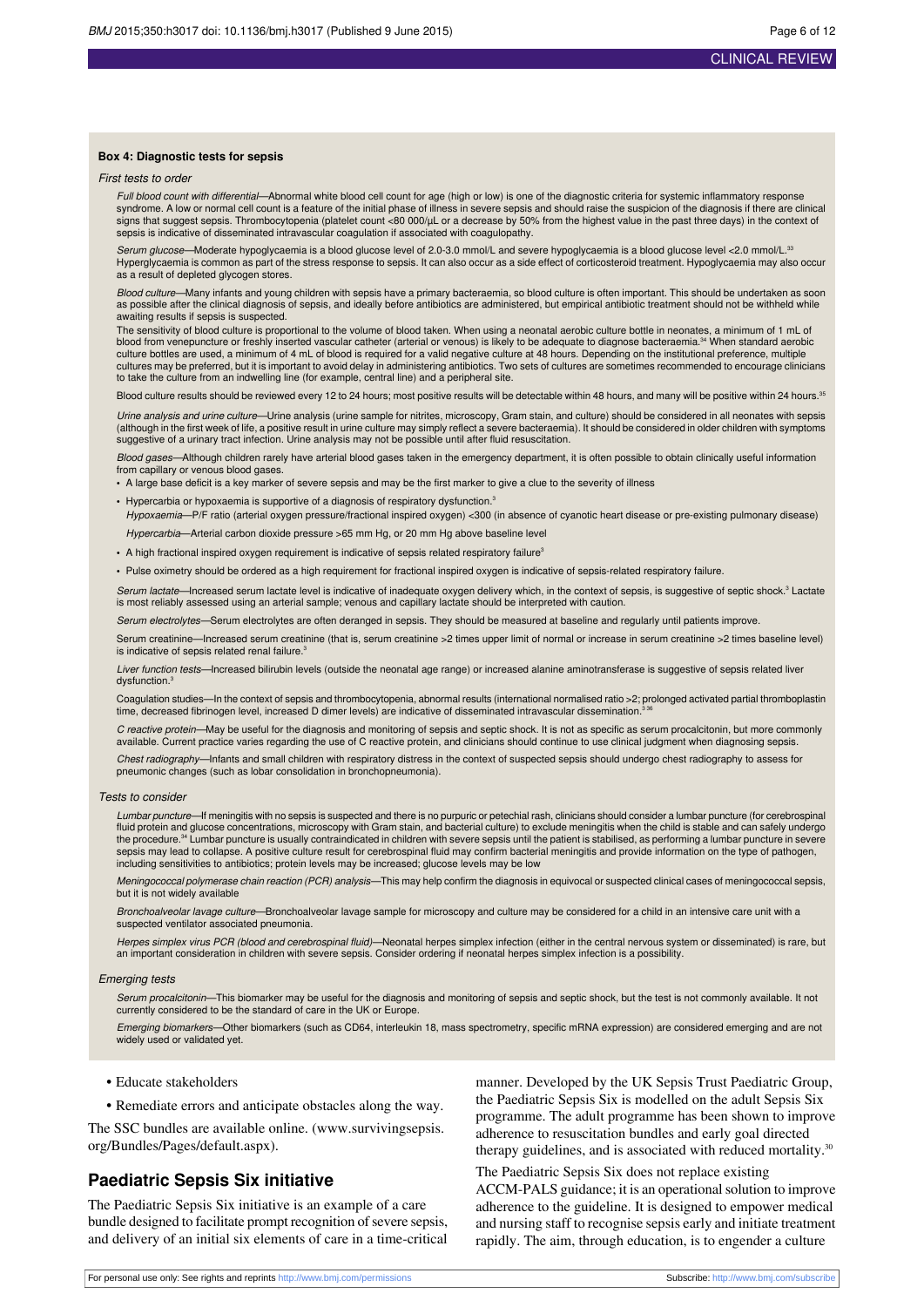#### **Box 4: Diagnostic tests for sepsis**

First tests to order

Full blood count with differential—Abnormal white blood cell count for age (high or low) is one of the diagnostic criteria for systemic inflammatory response syndrome. A low or normal cell count is a feature of the initial phase of illness in severe sepsis and should raise the suspicion of the diagnosis if there are clinical signs that suggest sepsis. Thrombocytopenia (platelet count <80 000/µL or a decrease by 50% from the highest value in the past three days) in the context of sepsis is indicative of disseminated intravascular coagulation if associated with coagulopathy.

Serum glucose—Moderate hypoglycaemia is a blood glucose level of 2.0-3.0 mmol/L and severe hypoglycaemia is a blood glucose level <2.0 mmol/L.33 Hyperglycaemia is common as part of the stress response to sepsis. It can also occur as a side effect of corticosteroid treatment. Hypoglycaemia may also occur as a result of depleted glycogen stores.

Blood culture—Many infants and young children with sepsis have a primary bacteraemia, so blood culture is often important. This should be undertaken as soon as possible after the clinical diagnosis of sepsis, and ideally before antibiotics are administered, but empirical antibiotic treatment should not be withheld while awaiting results if sepsis is suspected.

The sensitivity of blood culture is proportional to the volume of blood taken. When using a neonatal aerobic culture bottle in neonates, a minimum of 1 mL of<br>blood from venepuncture or freshly inserted vascular catheter (a cultures may be preferred, but it is important to avoid delay in administering antibiotics. Two sets of cultures are sometimes recommended to encourage clinicians to take the culture from an indwelling line (for example, central line) and a peripheral site.

Blood culture results should be reviewed every 12 to 24 hours; most positive results will be detectable within 48 hours, and many will be positive within 24 hours.<sup>35</sup>

Urine analysis and urine culture—Urine analysis (urine sample for nitrites, microscopy, Gram stain, and culture) should be considered in all neonates with sepsis (although in the first week of life, a positive result in urine culture may simply reflect a severe bacteraemia). It should be considered in older children with symptoms<br>suggestive of a urinary tract infection. Urine analy

Blood gases—Although children rarely have arterial blood gases taken in the emergency department, it is often possible to obtain clinically useful information from capillary or venous blood gases

**•** A large base deficit is a key marker of severe sepsis and may be the first marker to give a clue to the severity of illness

• Hypercarbia or hypoxaemia is supportive of a diagnosis of respiratory dysfunction.<sup>3</sup>

Hypoxaemia-P/F ratio (arterial oxygen pressure/fractional inspired oxygen) <300 (in absence of cyanotic heart disease or pre-existing pulmonary disease) Hypercarbia—Arterial carbon dioxide pressure >65 mm Hg, or 20 mm Hg above baseline level

• A high fractional inspired oxygen requirement is indicative of sepsis related respiratory failure<sup>3</sup>

**•** Pulse oximetry should be ordered as a high requirement for fractional inspired oxygen is indicative of sepsis-related respiratory failure.

Serum lactate—Increased serum lactate level is indicative of inadequate oxygen delivery which, in the context of sepsis, is suggestive of septic shock.<sup>3</sup> Lactate is most reliably assessed using an arterial sample; venous and capillary lactate should be interpreted with caution.

Serum electrolytes—Serum electrolytes are often deranged in sepsis. They should be measured at baseline and regularly until patients improve.

Serum creatinine—Increased serum creatinine (that is, serum creatinine >2 times upper limit of normal or increase in serum creatinine >2 times baseline level) is indicative of sepsis related renal failure.<sup>3</sup>

Liver function tests-Increased bilirubin levels (outside the neonatal age range) or increased alanine aminotransferase is suggestive of sepsis related liver dysfunction<sup>3</sup>

Coagulation studies—In the context of sepsis and thrombocytopenia, abnormal results (international normalised ratio >2; prolonged activated partial thromboplastin<br>time, decreased fibrinogen level, increased D dimer levels)

*C reactive protein—*May be useful for the diagnosis and monitoring of sepsis and septic shock. It is not as specific as serum procalcitonin, but more commonly<br>available. Current practice varies regarding the use of C reac

Chest radiography-Infants and small children with respiratory distress in the context of suspected sepsis should undergo chest radiography to assess for pneumonic changes (such as lobar consolidation in bronchopneumonia).

#### Tests to consider

Lumbar puncture—If meningitis with no sepsis is suspected and there is no purpuric or petechial rash, clinicians should consider a lumbar puncture (for cerebrospinal fluid protein and glucose concentrations, microscopy with Gram stain, and bacterial culture) to exclude meningitis when the child is stable and can safely undergo the procedure.<sup>34</sup> Lumbar puncture is usually contraindicated in children with severe sepsis until the patient is stabilised, as performing a lumbar puncture in severe sepsis may lead to collapse. A positive culture result for cerebrospinal fluid may confirm bacterial meningitis and provide information on the type of pathogen,<br>including sensitivities to antibiotics; protein levels may be

Meningococcal polymerase chain reaction (PCR) analysis—This may help confirm the diagnosis in equivocal or suspected clinical cases of meningococcal sepsis, but it is not widely available

Bronchoalveolar lavage culture—Bronchoalveolar lavage sample for microscopy and culture may be considered for a child in an intensive care unit with a suspected ventilator associated pneumonia.

Herpes simplex virus PCR (blood and cerebrospinal fluid)—Neonatal herpes simplex infection (either in the central nervous system or disseminated) is rare, but an important consideration in children with severe sepsis. Consider ordering if neonatal herpes simplex infection is a possibility.

#### Emerging tests

Serum procalcitonin—This biomarker may be useful for the diagnosis and monitoring of sepsis and septic shock, but the test is not commonly available. It not currently considered to be the standard of care in the UK or Europe.

Emerging biomarkers—Other biomarkers (such as CD64, interleukin 18, mass spectrometry, specific mRNA expression) are considered emerging and are not widely used or validated yet.

**•** Educate stakeholders

**•** Remediate errors and anticipate obstacles along the way.

The SSC bundles are available online. [\(www.survivingsepsis.](http://www.survivingsepsis.org/Bundles/Pages/default.aspx) [org/Bundles/Pages/default.aspx](http://www.survivingsepsis.org/Bundles/Pages/default.aspx)).

### **Paediatric Sepsis Six initiative**

The Paediatric Sepsis Six initiative is an example of a care bundle designed to facilitate prompt recognition of severe sepsis, and delivery of an initial six elements of care in a time-critical

manner. Developed by the UK Sepsis Trust Paediatric Group, the Paediatric Sepsis Six is modelled on the adult Sepsis Six programme. The adult programme has been shown to improve adherence to resuscitation bundles and early goal directed therapy guidelines, and is associated with reduced mortality.<sup>30</sup>

The Paediatric Sepsis Six does not replace existing ACCM-PALS guidance; it is an operational solution to improve adherence to the guideline. It is designed to empower medical and nursing staff to recognise sepsis early and initiate treatment rapidly. The aim, through education, is to engender a culture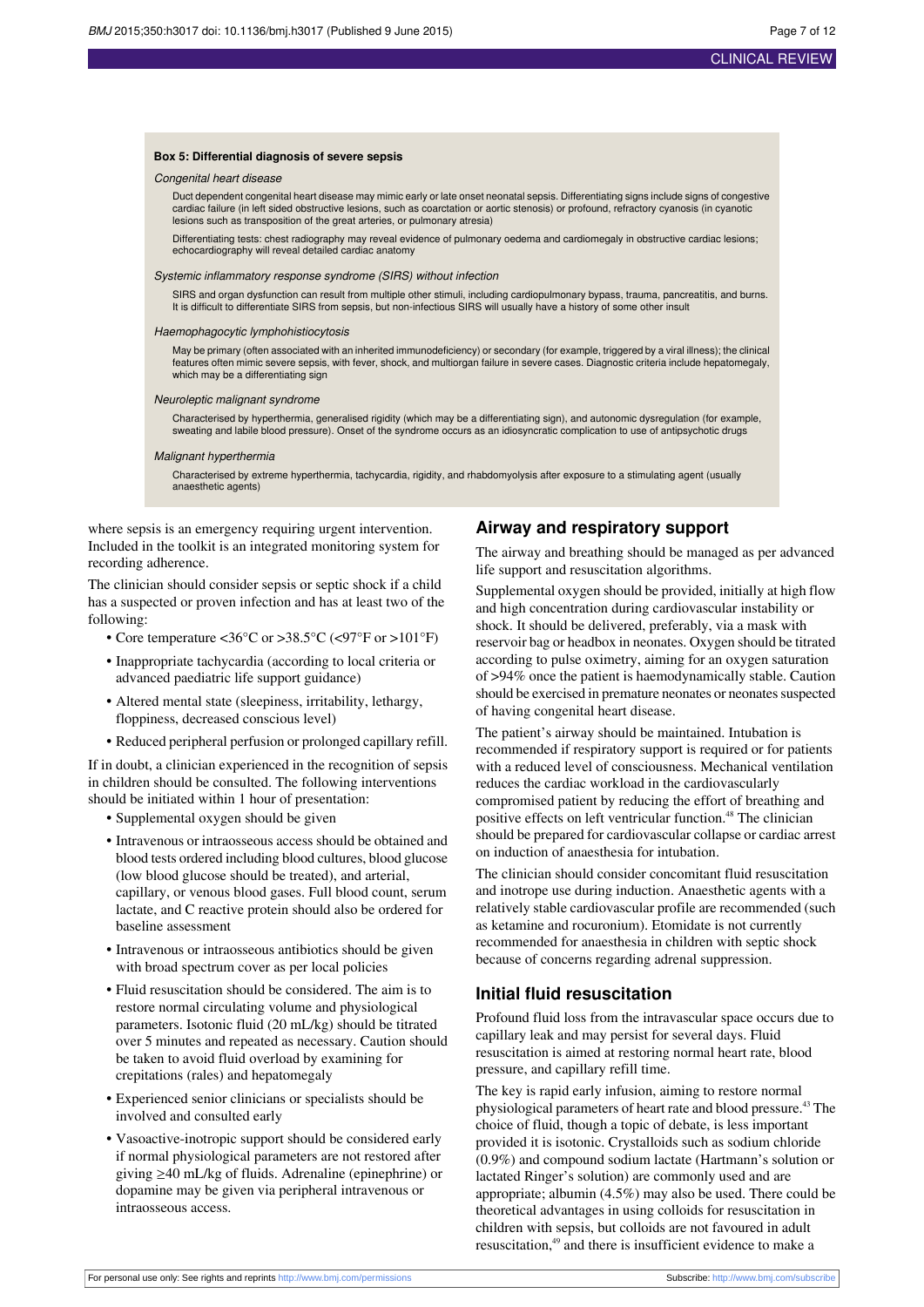#### **Box 5: Differential diagnosis of severe sepsis**

#### Congenital heart disease

Duct dependent congenital heart disease may mimic early or late onset neonatal sepsis. Differentiating signs include signs of congestive cardiac failure (in left sided obstructive lesions, such as coarctation or aortic stenosis) or profound, refractory cyanosis (in cyanotic lesions such as transposition of the great arteries, or pulmonary atresia)

Differentiating tests: chest radiography may reveal evidence of pulmonary oedema and cardiomegaly in obstructive cardiac lesions; echocardiography will reveal detailed cardiac anatomy

#### Systemic inflammatory response syndrome (SIRS) without infection

SIRS and organ dysfunction can result from multiple other stimuli, including cardiopulmonary bypass, trauma, pancreatitis, and burns. It is difficult to differentiate SIRS from sepsis, but non-infectious SIRS will usually have a history of some other insult

#### Haemophagocytic lymphohistiocytosis

May be primary (often associated with an inherited immunodeficiency) or secondary (for example, triggered by a viral illness); the clinical features often mimic severe sepsis, with fever, shock, and multiorgan failure in severe cases. Diagnostic criteria include hepatomegaly, which may be a differentiating sign

#### Neuroleptic malignant syndrome

Characterised by hyperthermia, generalised rigidity (which may be a differentiating sign), and autonomic dysregulation (for example, sweating and labile blood pressure). Onset of the syndrome occurs as an idiosyncratic complication to use of antipsychotic drugs

#### Malignant hyperthermia

Characterised by extreme hyperthermia, tachycardia, rigidity, and rhabdomyolysis after exposure to a stimulating agent (usually anaesthetic agents)

where sepsis is an emergency requiring urgent intervention. Included in the toolkit is an integrated monitoring system for recording adherence.

The clinician should consider sepsis or septic shock if a child has a suspected or proven infection and has at least two of the following:

- Core temperature <36°C or >38.5°C (<97°F or >101°F)
- **•** Inappropriate tachycardia (according to local criteria or advanced paediatric life support guidance)
- **•** Altered mental state (sleepiness, irritability, lethargy, floppiness, decreased conscious level)
- **•** Reduced peripheral perfusion or prolonged capillary refill.

If in doubt, a clinician experienced in the recognition of sepsis in children should be consulted. The following interventions should be initiated within 1 hour of presentation:

- **•** Supplemental oxygen should be given
- **•** Intravenous or intraosseous access should be obtained and blood tests ordered including blood cultures, blood glucose (low blood glucose should be treated), and arterial, capillary, or venous blood gases. Full blood count, serum lactate, and C reactive protein should also be ordered for baseline assessment
- **•** Intravenous or intraosseous antibiotics should be given with broad spectrum cover as per local policies
- **•** Fluid resuscitation should be considered. The aim is to restore normal circulating volume and physiological parameters. Isotonic fluid (20 mL/kg) should be titrated over 5 minutes and repeated as necessary. Caution should be taken to avoid fluid overload by examining for crepitations (rales) and hepatomegaly
- **•** Experienced senior clinicians or specialists should be involved and consulted early
- **•** Vasoactive-inotropic support should be considered early if normal physiological parameters are not restored after giving ≥40 mL/kg of fluids. Adrenaline (epinephrine) or dopamine may be given via peripheral intravenous or intraosseous access.

# **Airway and respiratory support**

The airway and breathing should be managed as per advanced life support and resuscitation algorithms.

Supplemental oxygen should be provided, initially at high flow and high concentration during cardiovascular instability or shock. It should be delivered, preferably, via a mask with reservoir bag or headbox in neonates. Oxygen should be titrated according to pulse oximetry, aiming for an oxygen saturation of >94% once the patient is haemodynamically stable. Caution should be exercised in premature neonates or neonates suspected of having congenital heart disease.

The patient's airway should be maintained. Intubation is recommended if respiratory support is required or for patients with a reduced level of consciousness. Mechanical ventilation reduces the cardiac workload in the cardiovascularly compromised patient by reducing the effort of breathing and positive effects on left ventricular function.<sup>48</sup> The clinician should be prepared for cardiovascular collapse or cardiac arrest on induction of anaesthesia for intubation.

The clinician should consider concomitant fluid resuscitation and inotrope use during induction. Anaesthetic agents with a relatively stable cardiovascular profile are recommended (such as ketamine and rocuronium). Etomidate is not currently recommended for anaesthesia in children with septic shock because of concerns regarding adrenal suppression.

# **Initial fluid resuscitation**

Profound fluid loss from the intravascular space occurs due to capillary leak and may persist for several days. Fluid resuscitation is aimed at restoring normal heart rate, blood pressure, and capillary refill time.

The key is rapid early infusion, aiming to restore normal physiological parameters of heart rate and blood pressure.<sup>43</sup> The choice of fluid, though a topic of debate, is less important provided it is isotonic. Crystalloids such as sodium chloride (0.9%) and compound sodium lactate (Hartmann's solution or lactated Ringer's solution) are commonly used and are appropriate; albumin (4.5%) may also be used. There could be theoretical advantages in using colloids for resuscitation in children with sepsis, but colloids are not favoured in adult resuscitation,<sup>49</sup> and there is insufficient evidence to make a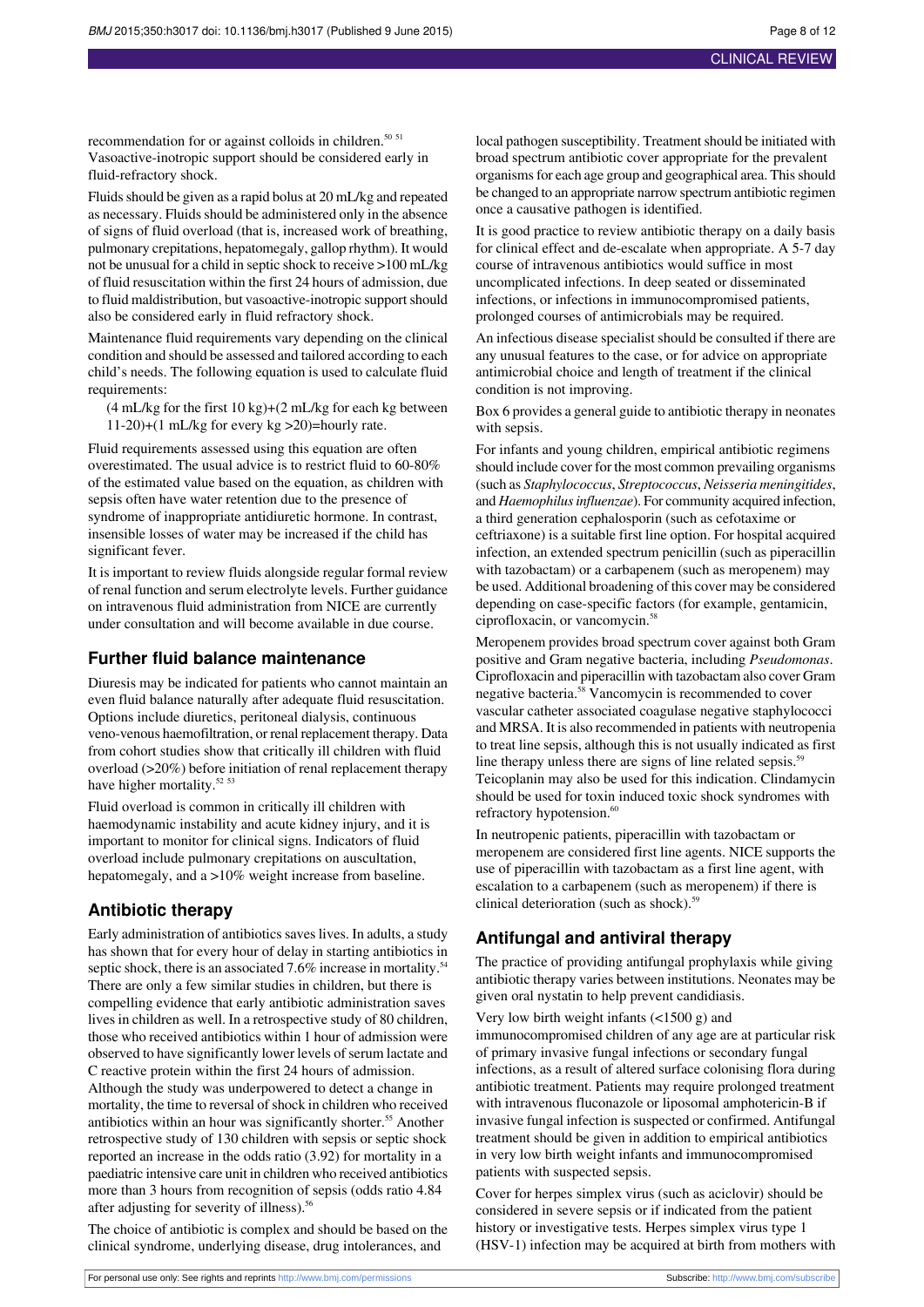recommendation for or against colloids in children.<sup>50 51</sup> Vasoactive-inotropic support should be considered early in fluid-refractory shock.

Fluids should be given as a rapid bolus at 20 mL/kg and repeated as necessary. Fluids should be administered only in the absence of signs of fluid overload (that is, increased work of breathing, pulmonary crepitations, hepatomegaly, gallop rhythm). It would not be unusual for a child in septic shock to receive >100 mL/kg of fluid resuscitation within the first 24 hours of admission, due to fluid maldistribution, but vasoactive-inotropic support should also be considered early in fluid refractory shock.

Maintenance fluid requirements vary depending on the clinical condition and should be assessed and tailored according to each child's needs. The following equation is used to calculate fluid requirements:

 $(4 \text{ mL/kg}$  for the first  $10 \text{ kg}$  $+(2 \text{ mL/kg}$  for each kg between  $11-20$ )+(1 mL/kg for every kg >20)=hourly rate.

Fluid requirements assessed using this equation are often overestimated. The usual advice is to restrict fluid to 60-80% of the estimated value based on the equation, as children with sepsis often have water retention due to the presence of syndrome of inappropriate antidiuretic hormone. In contrast, insensible losses of water may be increased if the child has significant fever.

It is important to review fluids alongside regular formal review of renal function and serum electrolyte levels. Further guidance on intravenous fluid administration from NICE are currently under consultation and will become available in due course.

### **Further fluid balance maintenance**

Diuresis may be indicated for patients who cannot maintain an even fluid balance naturally after adequate fluid resuscitation. Options include diuretics, peritoneal dialysis, continuous veno-venous haemofiltration, or renal replacement therapy. Data from cohort studies show that critically ill children with fluid overload (>20%) before initiation of renal replacement therapy have higher mortality.<sup>52 53</sup>

Fluid overload is common in critically ill children with haemodynamic instability and acute kidney injury, and it is important to monitor for clinical signs. Indicators of fluid overload include pulmonary crepitations on auscultation, hepatomegaly, and a >10% weight increase from baseline.

# **Antibiotic therapy**

Early administration of antibiotics saves lives. In adults, a study has shown that for every hour of delay in starting antibiotics in septic shock, there is an associated 7.6% increase in mortality.<sup>54</sup> There are only a few similar studies in children, but there is compelling evidence that early antibiotic administration saves lives in children as well. In a retrospective study of 80 children, those who received antibiotics within 1 hour of admission were observed to have significantly lower levels of serum lactate and C reactive protein within the first 24 hours of admission. Although the study was underpowered to detect a change in mortality, the time to reversal of shock in children who received antibiotics within an hour was significantly shorter.<sup>55</sup> Another retrospective study of 130 children with sepsis or septic shock reported an increase in the odds ratio (3.92) for mortality in a paediatric intensive care unit in children who received antibiotics more than 3 hours from recognition of sepsis (odds ratio 4.84 after adjusting for severity of illness).<sup>56</sup>

The choice of antibiotic is complex and should be based on the clinical syndrome, underlying disease, drug intolerances, and

local pathogen susceptibility. Treatment should be initiated with broad spectrum antibiotic cover appropriate for the prevalent organisms for each age group and geographical area. This should be changed to an appropriate narrow spectrum antibiotic regimen once a causative pathogen is identified.

It is good practice to review antibiotic therapy on a daily basis for clinical effect and de-escalate when appropriate. A 5-7 day course of intravenous antibiotics would suffice in most uncomplicated infections. In deep seated or disseminated infections, or infections in immunocompromised patients, prolonged courses of antimicrobials may be required.

An infectious disease specialist should be consulted if there are any unusual features to the case, or for advice on appropriate antimicrobial choice and length of treatment if the clinical condition is not improving.

Box 6 provides a general guide to antibiotic therapy in neonates with sepsis.

For infants and young children, empirical antibiotic regimens should include cover for the most common prevailing organisms (such as *Staphylococcus*, *Streptococcus*, *Neisseria meningitides*, and *Haemophilusinfluenzae*). For community acquired infection, a third generation cephalosporin (such as cefotaxime or ceftriaxone) is a suitable first line option. For hospital acquired infection, an extended spectrum penicillin (such as piperacillin with tazobactam) or a carbapenem (such as meropenem) may be used. Additional broadening of this cover may be considered depending on case-specific factors (for example, gentamicin, ciprofloxacin, or vancomycin.<sup>58</sup>

Meropenem provides broad spectrum cover against both Gram positive and Gram negative bacteria, including *Pseudomonas*. Ciprofloxacin and piperacillin with tazobactam also cover Gram negative bacteria.<sup>58</sup> Vancomycin is recommended to cover vascular catheter associated coagulase negative staphylococci and MRSA. It is also recommended in patients with neutropenia to treat line sepsis, although this is not usually indicated as first line therapy unless there are signs of line related sepsis.<sup>59</sup> Teicoplanin may also be used for this indication. Clindamycin should be used for toxin induced toxic shock syndromes with refractory hypotension.<sup>60</sup>

In neutropenic patients, piperacillin with tazobactam or meropenem are considered first line agents. NICE supports the use of piperacillin with tazobactam as a first line agent, with escalation to a carbapenem (such as meropenem) if there is clinical deterioration (such as shock).<sup>59</sup>

# **Antifungal and antiviral therapy**

The practice of providing antifungal prophylaxis while giving antibiotic therapy varies between institutions. Neonates may be given oral nystatin to help prevent candidiasis.

Very low birth weight infants (<1500 g) and

immunocompromised children of any age are at particular risk of primary invasive fungal infections or secondary fungal infections, as a result of altered surface colonising flora during antibiotic treatment. Patients may require prolonged treatment with intravenous fluconazole or liposomal amphotericin-B if invasive fungal infection is suspected or confirmed. Antifungal treatment should be given in addition to empirical antibiotics in very low birth weight infants and immunocompromised patients with suspected sepsis.

Cover for herpes simplex virus (such as aciclovir) should be considered in severe sepsis or if indicated from the patient history or investigative tests. Herpes simplex virus type 1 (HSV-1) infection may be acquired at birth from mothers with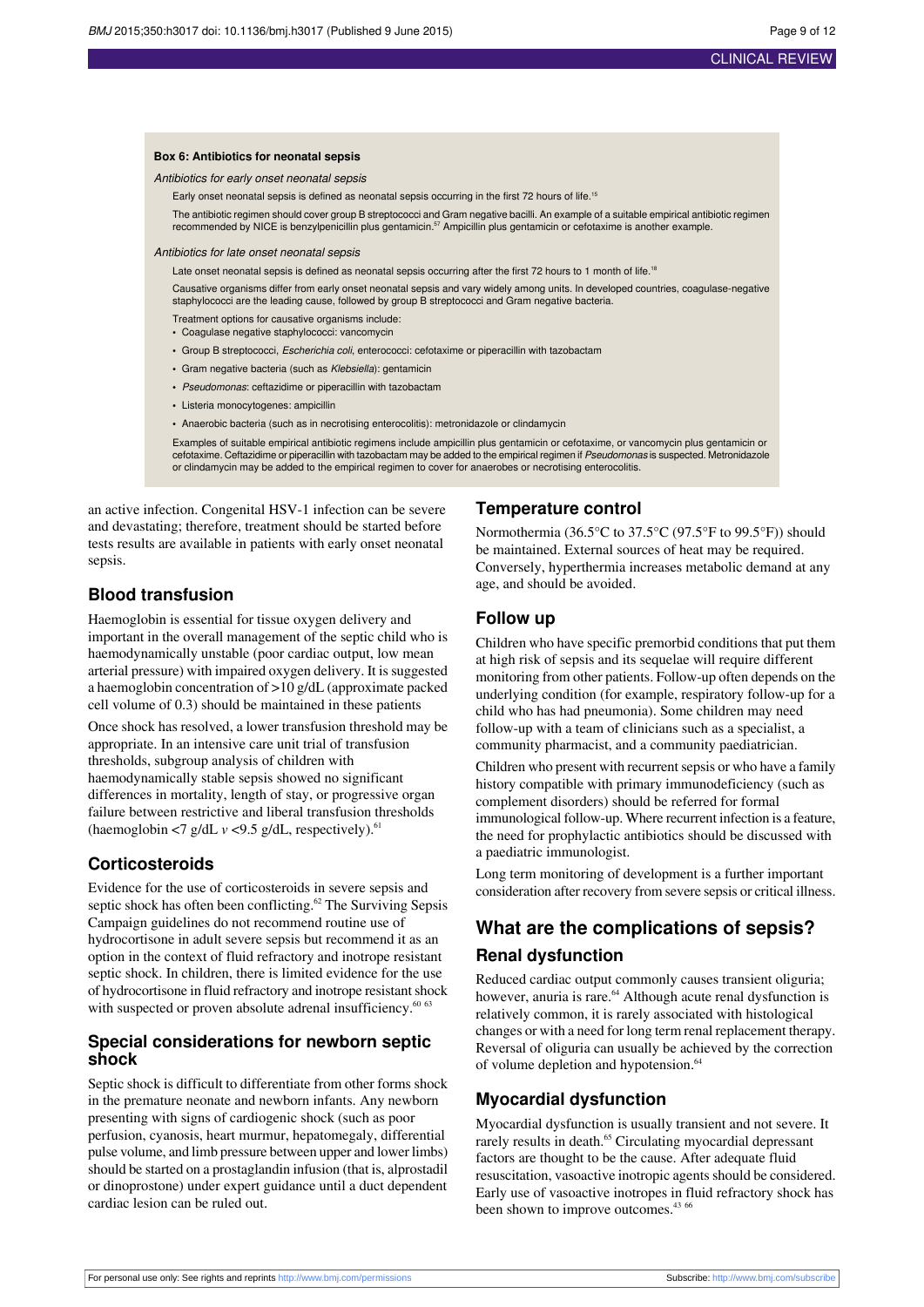#### **Box 6: Antibiotics for neonatal sepsis**

Antibiotics for early onset neonatal sepsis

Early onset neonatal sepsis is defined as neonatal sepsis occurring in the first 72 hours of life.<sup>15</sup>

The antibiotic regimen should cover group B streptococci and Gram negative bacilli. An example of a suitable empirical antibiotic regimen recommended by NICE is benzylpenicillin plus gentamicin.<sup>57</sup> Ampicillin plus gentamicin or cefotaxime is another example.

#### Antibiotics for late onset neonatal sepsis

Late onset neonatal sepsis is defined as neonatal sepsis occurring after the first 72 hours to 1 month of life.<sup>18</sup>

Causative organisms differ from early onset neonatal sepsis and vary widely among units. In developed countries, coagulase-negative staphylococci are the leading cause, followed by group B streptococci and Gram negative bacteria.

- Treatment options for causative organisms include:
- **•** Coagulase negative staphylococci: vancomycin
- **•** Group B streptococci, Escherichia coli, enterococci: cefotaxime or piperacillin with tazobactam
- **•** Gram negative bacteria (such as Klebsiella): gentamicin
- **•** Pseudomonas: ceftazidime or piperacillin with tazobactam
- **•** Listeria monocytogenes: ampicillin
- **•** Anaerobic bacteria (such as in necrotising enterocolitis): metronidazole or clindamycin

Examples of suitable empirical antibiotic regimens include ampicillin plus gentamicin or cefotaxime, or vancomycin plus gentamicin or cefotaxime. Ceftazidime or piperacillin with tazobactam may be added to the empirical regimen if Pseudomonas is suspected. Metronidazole or clindamycin may be added to the empirical regimen to cover for anaerobes or necrotising enterocolitis.

an active infection. Congenital HSV-1 infection can be severe and devastating; therefore, treatment should be started before tests results are available in patients with early onset neonatal sepsis.

### **Blood transfusion**

Haemoglobin is essential for tissue oxygen delivery and important in the overall management of the septic child who is haemodynamically unstable (poor cardiac output, low mean arterial pressure) with impaired oxygen delivery. It is suggested a haemoglobin concentration of >10 g/dL (approximate packed cell volume of 0.3) should be maintained in these patients

Once shock has resolved, a lower transfusion threshold may be appropriate. In an intensive care unit trial of transfusion thresholds, subgroup analysis of children with haemodynamically stable sepsis showed no significant differences in mortality, length of stay, or progressive organ failure between restrictive and liberal transfusion thresholds (haemoglobin  $\langle 7 \text{ g/dL } v \langle 9.5 \text{ g/dL} \rangle$ , respectively).<sup>61</sup>

# **Corticosteroids**

Evidence for the use of corticosteroids in severe sepsis and septic shock has often been conflicting.<sup>62</sup> The Surviving Sepsis Campaign guidelines do not recommend routine use of hydrocortisone in adult severe sepsis but recommend it as an option in the context of fluid refractory and inotrope resistant septic shock. In children, there is limited evidence for the use of hydrocortisone in fluid refractory and inotrope resistant shock with suspected or proven absolute adrenal insufficiency.<sup>60 63</sup>

### **Special considerations for newborn septic shock**

Septic shock is difficult to differentiate from other forms shock in the premature neonate and newborn infants. Any newborn presenting with signs of cardiogenic shock (such as poor perfusion, cyanosis, heart murmur, hepatomegaly, differential pulse volume, and limb pressure between upper and lower limbs) should be started on a prostaglandin infusion (that is, alprostadil or dinoprostone) under expert guidance until a duct dependent cardiac lesion can be ruled out.

### **Temperature control**

Normothermia (36.5°C to 37.5°C (97.5°F to 99.5°F)) should be maintained. External sources of heat may be required. Conversely, hyperthermia increases metabolic demand at any age, and should be avoided.

# **Follow up**

Children who have specific premorbid conditions that put them at high risk of sepsis and its sequelae will require different monitoring from other patients. Follow-up often depends on the underlying condition (for example, respiratory follow-up for a child who has had pneumonia). Some children may need follow-up with a team of clinicians such as a specialist, a community pharmacist, and a community paediatrician.

Children who present with recurrent sepsis or who have a family history compatible with primary immunodeficiency (such as complement disorders) should be referred for formal immunological follow-up. Where recurrent infection is a feature, the need for prophylactic antibiotics should be discussed with a paediatric immunologist.

Long term monitoring of development is a further important consideration after recovery from severe sepsis or critical illness.

# **What are the complications of sepsis? Renal dysfunction**

Reduced cardiac output commonly causes transient oliguria; however, anuria is rare.<sup>64</sup> Although acute renal dysfunction is relatively common, it is rarely associated with histological changes or with a need for long term renal replacement therapy. Reversal of oliguria can usually be achieved by the correction of volume depletion and hypotension.<sup>64</sup>

# **Myocardial dysfunction**

Myocardial dysfunction is usually transient and not severe. It rarely results in death.<sup>65</sup> Circulating myocardial depressant factors are thought to be the cause. After adequate fluid resuscitation, vasoactive inotropic agents should be considered. Early use of vasoactive inotropes in fluid refractory shock has been shown to improve outcomes.<sup>43 66</sup>

For personal use only: See rights and reprints<http://www.bmj.com/permissions> Subscribe: <http://www.bmj.com/subscribe>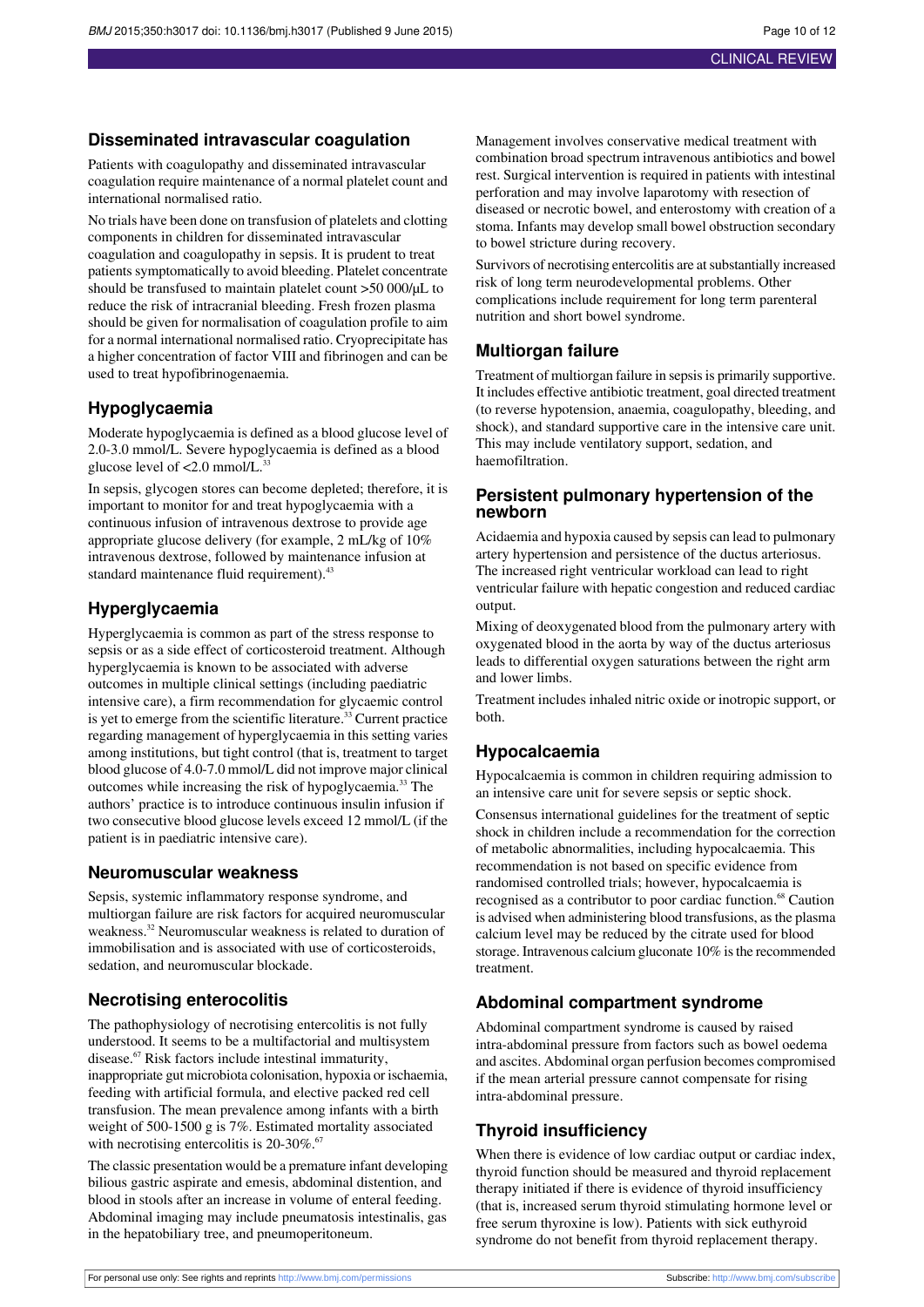### **Disseminated intravascular coagulation**

Patients with coagulopathy and disseminated intravascular coagulation require maintenance of a normal platelet count and international normalised ratio.

No trials have been done on transfusion of platelets and clotting components in children for disseminated intravascular coagulation and coagulopathy in sepsis. It is prudent to treat patients symptomatically to avoid bleeding. Platelet concentrate should be transfused to maintain platelet count >50 000/µL to reduce the risk of intracranial bleeding. Fresh frozen plasma should be given for normalisation of coagulation profile to aim for a normal international normalised ratio. Cryoprecipitate has a higher concentration of factor VIII and fibrinogen and can be used to treat hypofibrinogenaemia.

### **Hypoglycaemia**

Moderate hypoglycaemia is defined as a blood glucose level of 2.0-3.0 mmol/L. Severe hypoglycaemia is defined as a blood glucose level of  $< 2.0$  mmol/L.

In sepsis, glycogen stores can become depleted; therefore, it is important to monitor for and treat hypoglycaemia with a continuous infusion of intravenous dextrose to provide age appropriate glucose delivery (for example, 2 mL/kg of 10% intravenous dextrose, followed by maintenance infusion at standard maintenance fluid requirement).<sup>43</sup>

### **Hyperglycaemia**

Hyperglycaemia is common as part of the stress response to sepsis or as a side effect of corticosteroid treatment. Although hyperglycaemia is known to be associated with adverse outcomes in multiple clinical settings (including paediatric intensive care), a firm recommendation for glycaemic control is yet to emerge from the scientific literature.<sup>33</sup> Current practice regarding management of hyperglycaemia in this setting varies among institutions, but tight control (that is, treatment to target blood glucose of 4.0-7.0 mmol/L did not improve major clinical outcomes while increasing the risk of hypoglycaemia.<sup>33</sup> The authors' practice is to introduce continuous insulin infusion if two consecutive blood glucose levels exceed 12 mmol/L (if the patient is in paediatric intensive care).

### **Neuromuscular weakness**

Sepsis, systemic inflammatory response syndrome, and multiorgan failure are risk factors for acquired neuromuscular weakness.<sup>32</sup> Neuromuscular weakness is related to duration of immobilisation and is associated with use of corticosteroids, sedation, and neuromuscular blockade.

### **Necrotising enterocolitis**

The pathophysiology of necrotising entercolitis is not fully understood. It seems to be a multifactorial and multisystem disease.<sup>67</sup> Risk factors include intestinal immaturity, inappropriate gut microbiota colonisation, hypoxia or ischaemia, feeding with artificial formula, and elective packed red cell transfusion. The mean prevalence among infants with a birth weight of 500-1500 g is 7%. Estimated mortality associated with necrotising entercolitis is 20-30%.<sup>67</sup>

The classic presentation would be a premature infant developing bilious gastric aspirate and emesis, abdominal distention, and blood in stools after an increase in volume of enteral feeding. Abdominal imaging may include pneumatosis intestinalis, gas in the hepatobiliary tree, and pneumoperitoneum.

Management involves conservative medical treatment with combination broad spectrum intravenous antibiotics and bowel rest. Surgical intervention is required in patients with intestinal perforation and may involve laparotomy with resection of diseased or necrotic bowel, and enterostomy with creation of a stoma. Infants may develop small bowel obstruction secondary to bowel stricture during recovery.

Survivors of necrotising entercolitis are at substantially increased risk of long term neurodevelopmental problems. Other complications include requirement for long term parenteral nutrition and short bowel syndrome.

# **Multiorgan failure**

Treatment of multiorgan failure in sepsis is primarily supportive. It includes effective antibiotic treatment, goal directed treatment (to reverse hypotension, anaemia, coagulopathy, bleeding, and shock), and standard supportive care in the intensive care unit. This may include ventilatory support, sedation, and haemofiltration.

### **Persistent pulmonary hypertension of the newborn**

Acidaemia and hypoxia caused by sepsis can lead to pulmonary artery hypertension and persistence of the ductus arteriosus. The increased right ventricular workload can lead to right ventricular failure with hepatic congestion and reduced cardiac output.

Mixing of deoxygenated blood from the pulmonary artery with oxygenated blood in the aorta by way of the ductus arteriosus leads to differential oxygen saturations between the right arm and lower limbs.

Treatment includes inhaled nitric oxide or inotropic support, or both.

# **Hypocalcaemia**

Hypocalcaemia is common in children requiring admission to an intensive care unit for severe sepsis or septic shock.

Consensus international guidelines for the treatment of septic shock in children include a recommendation for the correction of metabolic abnormalities, including hypocalcaemia. This recommendation is not based on specific evidence from randomised controlled trials; however, hypocalcaemia is recognised as a contributor to poor cardiac function.<sup>68</sup> Caution is advised when administering blood transfusions, asthe plasma calcium level may be reduced by the citrate used for blood storage. Intravenous calcium gluconate 10% is the recommended treatment.

# **Abdominal compartment syndrome**

Abdominal compartment syndrome is caused by raised intra-abdominal pressure from factors such as bowel oedema and ascites. Abdominal organ perfusion becomes compromised if the mean arterial pressure cannot compensate for rising intra-abdominal pressure.

# **Thyroid insufficiency**

When there is evidence of low cardiac output or cardiac index, thyroid function should be measured and thyroid replacement therapy initiated if there is evidence of thyroid insufficiency (that is, increased serum thyroid stimulating hormone level or free serum thyroxine is low). Patients with sick euthyroid syndrome do not benefit from thyroid replacement therapy.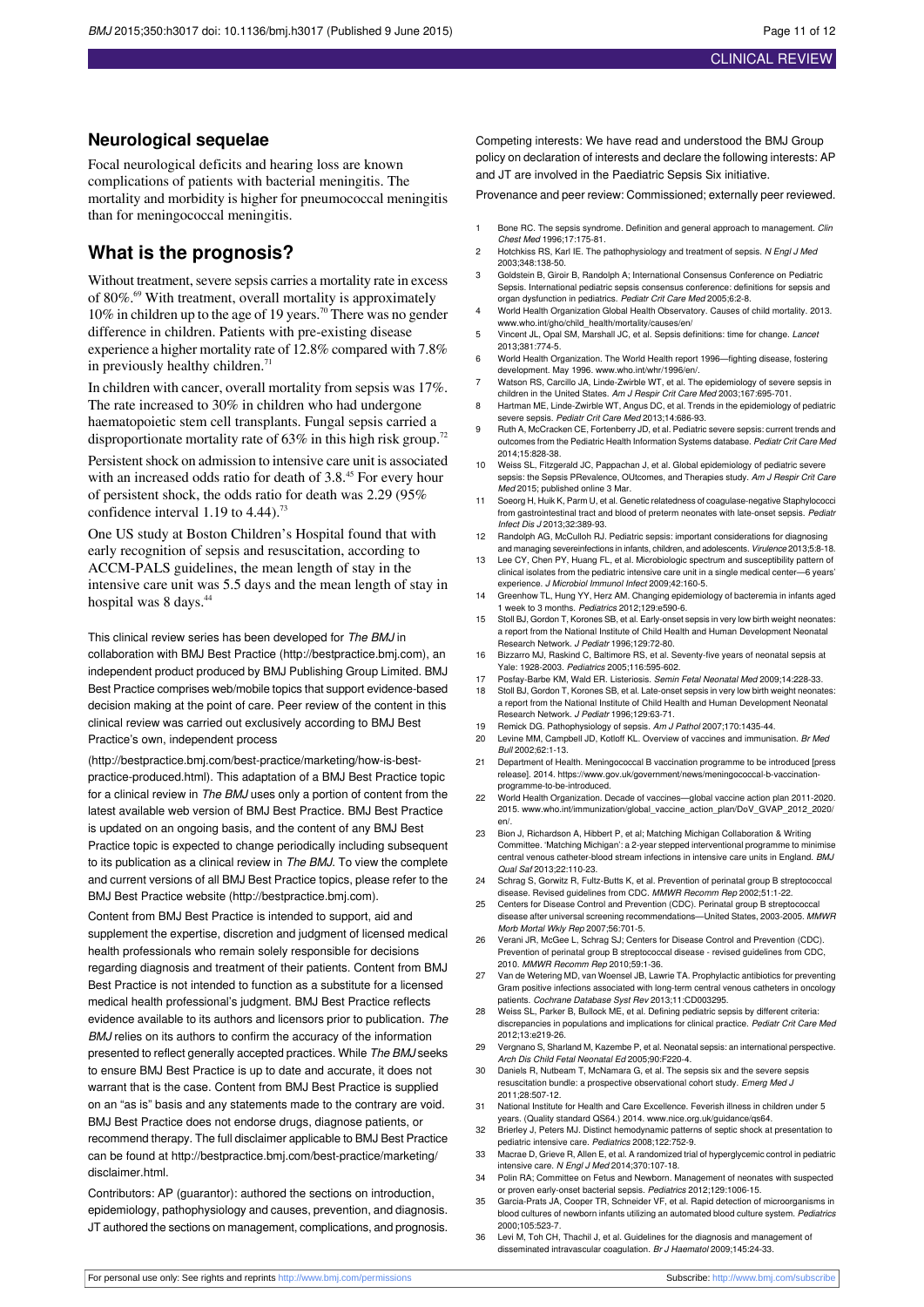### **Neurological sequelae**

Focal neurological deficits and hearing loss are known complications of patients with bacterial meningitis. The mortality and morbidity is higher for pneumococcal meningitis than for meningococcal meningitis.

# **What is the prognosis?**

Without treatment, severe sepsis carries a mortality rate in excess of 80%.<sup>69</sup> With treatment, overall mortality is approximately 10% in children up to the age of 19 years.<sup>70</sup> There was no gender difference in children. Patients with pre-existing disease experience a higher mortality rate of 12.8% compared with 7.8% in previously healthy children.<sup>71</sup>

In children with cancer, overall mortality from sepsis was 17%. The rate increased to 30% in children who had undergone haematopoietic stem cell transplants. Fungal sepsis carried a disproportionate mortality rate of 63% in this high risk group.<sup>72</sup>

Persistent shock on admission to intensive care unit is associated with an increased odds ratio for death of 3.8.<sup>45</sup> For every hour of persistent shock, the odds ratio for death was 2.29 (95% confidence interval 1.19 to 4.44).<sup>73</sup>

One US study at Boston Children's Hospital found that with early recognition of sepsis and resuscitation, according to ACCM-PALS guidelines, the mean length of stay in the intensive care unit was 5.5 days and the mean length of stay in hospital was 8 days.<sup>44</sup>

This clinical review series has been developed for The BMJ in collaboration with BMJ Best Practice ([http://bestpractice.bmj.com](http://bestpractice.bmj.com/)), an independent product produced by BMJ Publishing Group Limited. BMJ Best Practice comprises web/mobile topics that support evidence-based decision making at the point of care. Peer review of the content in this clinical review was carried out exclusively according to BMJ Best Practice's own, independent process

[\(http://bestpractice.bmj.com/best-practice/marketing/how-is-best](http://bestpractice.bmj.com/best-practice/marketing/how-is-best-practice-produced.html)[practice-produced.html\)](http://bestpractice.bmj.com/best-practice/marketing/how-is-best-practice-produced.html). This adaptation of a BMJ Best Practice topic for a clinical review in The BMJ uses only a portion of content from the latest available web version of BMJ Best Practice. BMJ Best Practice is updated on an ongoing basis, and the content of any BMJ Best Practice topic is expected to change periodically including subsequent to its publication as a clinical review in The BMJ. To view the complete and current versions of all BMJ Best Practice topics, please refer to the BMJ Best Practice website [\(http://bestpractice.bmj.com\)](http://bestpractice.bmj.com/).

Content from BMJ Best Practice is intended to support, aid and supplement the expertise, discretion and judgment of licensed medical health professionals who remain solely responsible for decisions regarding diagnosis and treatment of their patients. Content from BMJ Best Practice is not intended to function as a substitute for a licensed medical health professional's judgment. BMJ Best Practice reflects evidence available to its authors and licensors prior to publication. The BMJ relies on its authors to confirm the accuracy of the information presented to reflect generally accepted practices. While The BMJ seeks to ensure BMJ Best Practice is up to date and accurate, it does not warrant that is the case. Content from BMJ Best Practice is supplied on an "as is" basis and any statements made to the contrary are void. BMJ Best Practice does not endorse drugs, diagnose patients, or recommend therapy. The full disclaimer applicable to BMJ Best Practice can be found at [http://bestpractice.bmj.com/best-practice/marketing/](http://bestpractice.bmj.com/best-practice/marketing/disclaimer.html) [disclaimer.html.](http://bestpractice.bmj.com/best-practice/marketing/disclaimer.html)

Contributors: AP (guarantor): authored the sections on introduction, epidemiology, pathophysiology and causes, prevention, and diagnosis. JT authored the sections on management, complications, and prognosis. Competing interests: We have read and understood the BMJ Group policy on declaration of interests and declare the following interests: AP and JT are involved in the Paediatric Sepsis Six initiative.

Provenance and peer review: Commissioned; externally peer reviewed.

- 1 Bone RC. The sepsis syndrome. Definition and general approach to management. Clin Chest Med 1996;17:175-81.
- 2 Hotchkiss RS, Karl IE. The pathophysiology and treatment of sepsis. N Engl J Med 2003;348:138-50.
- 3 Goldstein B, Giroir B, Randolph A; International Consensus Conference on Pediatric Sepsis. International pediatric sepsis consensus conference: definitions for sepsis and organ dysfunction in pediatrics. Pediatr Crit Care Med 2005;6:2-8.
- 4 World Health Organization Global Health Observatory. Causes of child mortality. 2013. [www.who.int/gho/child\\_health/mortality/causes/en/](http://www.who.int/gho/child_health/mortality/causes/en/)
- 5 Vincent JL, Opal SM, Marshall JC, et al. Sepsis definitions: time for change. Lancet 2013;381:774-5.
- 6 World Health Organization. The World Health report 1996—fighting disease, fostering development. May 1996. [www.who.int/whr/1996/en/.](http://www.who.int/whr/1996/en/)
- 7 Watson RS, Carcillo JA, Linde-Zwirble WT, et al. The epidemiology of severe sepsis in children in the United States. Am J Respir Crit Care Med 2003;167:695-701.
- 8 Hartman ME, Linde-Zwirble WT, Angus DC, et al. Trends in the epidemiology of pediatric severe sepsis. Pediatr Crit Care Med 2013;14:686-93.
- 9 Ruth A, McCracken CE, Fortenberry JD, et al. Pediatric severe sepsis: current trends and outcomes from the Pediatric Health Information Systems database. Pediatr Crit Care Med 2014;15:828-38.
- Weiss SL, Fitzgerald JC, Pappachan J, et al. Global epidemiology of pediatric severe sepsis: the Sepsis PRevalence, OUtcomes, and Therapies study. Am J Respir Crit Care Med 2015; published online 3 Mar.
- Soeorg H, Huik K, Parm U, et al. Genetic relatedness of coagulase-negative Staphylococci from gastrointestinal tract and blood of preterm neonates with late-onset sepsis. Pediate Infect Dis J 2013;32:389-93.
- 12 Randolph AG, McCulloh RJ. Pediatric sepsis: important considerations for diagnosing and managing severeinfections in infants, children, and adolescents. Virulence 2013;5:8-18.
- 13 Lee CY, Chen PY, Huang FL, et al. Microbiologic spectrum and susceptibility pattern of clinical isolates from the pediatric intensive care unit in a single medical center—6 years' experience. J Microbiol Immunol Infect 2009;42:160-5.
- 14 Greenhow TL, Hung YY, Herz AM. Changing epidemiology of bacteremia in infants aged 1 week to 3 months. Pediatrics 2012;129:e590-6.
- 15 Stoll BJ, Gordon T, Korones SB, et al. Early-onset sepsis in very low birth weight neonates: a report from the National Institute of Child Health and Human Development Neonatal Research Network. J Pediatr 1996;129:72-80.
- 16 Bizzarro MJ, Raskind C, Baltimore RS, et al. Seventy-five years of neonatal sepsis at Yale: 1928-2003. Pediatrics 2005;116:595-602.
- 17 Posfay-Barbe KM, Wald ER. Listeriosis. Semin Fetal Neonatal Med 2009;14:228-33. 18 Stoll BJ, Gordon T, Korones SB, et al. Late-onset sepsis in very low birth weight neonates: a report from the National Institute of Child Health and Human Development Neonatal Research Network. J Pediatr 1996;129:63-71.
- 19 Remick DG. Pathophysiology of sepsis. Am J Pathol 2007;170:1435-44.<br>20 Levine MM. Campbell JD. Kotloff KL. Overview of vaccines and immunis
- Levine MM, Campbell JD, Kotloff KL. Overview of vaccines and immunisation. Br Med Bull 2002;62:1-13.
- 21 Department of Health. Meningococcal B vaccination programme to be introduced [press release]. 2014. https://www.gov.uk/government/news/meningococcal-b-vaccinationprogramme-to-be-introduced.
- 22 World Health Organization. Decade of vaccines—global vaccine action plan 2011-2020. 2015. [www.who.int/immunization/global\\_vaccine\\_action\\_plan/DoV\\_GVAP\\_2012\\_2020/](http://www.who.int/immunization/global_vaccine_action_plan/DoV_GVAP_2012_2020/en/) [en/.](http://www.who.int/immunization/global_vaccine_action_plan/DoV_GVAP_2012_2020/en/)
- 23 Bion J, Richardson A, Hibbert P, et al; Matching Michigan Collaboration & Writing Committee. 'Matching Michigan': a 2-year stepped interventional programme to minimise central venous catheter-blood stream infections in intensive care units in England. BMJ Qual Saf 2013;22:110-23.
- 24 Schrag S, Gorwitz R, Fultz-Butts K, et al. Prevention of perinatal group B streptococcal disease. Revised guidelines from CDC. MMWR Recomm Rep 2002;51:1-22.
- 25 Centers for Disease Control and Prevention (CDC). Perinatal group B strepto disease after universal screening recommendations—United States, 2003-2005. MMWR Morb Mortal Wkly Rep 2007;56:701-5.
- 26 Verani JR, McGee L, Schrag SJ; Centers for Disease Control and Prevention (CDC). Prevention of perinatal group B streptococcal disease - revised guidelines from CDC, 2010. MMWR Recomm Rep 2010;59:1-36.
- 27 Van de Wetering MD, van Woensel JB, Lawrie TA. Prophylactic antibiotics for preventing Gram positive infections associated with long-term central venous catheters in oncology patients. Cochrane Database Syst Rev 2013;11:CD003295.
- 28 Weiss SL, Parker B, Bullock ME, et al. Defining pediatric sepsis by different criteria: discrepancies in populations and implications for clinical practice. Pediatr Crit Care Med 2012;13:e219-26.
- 29 Vergnano S, Sharland M, Kazembe P, et al. Neonatal sepsis: an international perspective. Arch Dis Child Fetal Neonatal Ed 2005;90:F220-4.
- 30 Daniels R, Nutbeam T, McNamara G, et al. The sepsis six and the severe sepasition resuscitation bundle: a prospective observational cohort study. Emerg Med J 2011;28:507-12.
- 31 National Institute for Health and Care Excellence. Feverish illness in children under 5 ears. (Quality standard QS64.) 2014. [www.nice.org.uk/guidance/qs64](http://www.nice.org.uk/guidance/qs64)
- 32 Brierley J, Peters MJ. Distinct hemodynamic patterns of septic shock at presentation to pediatric intensive care. Pediatrics 2008;122:752-9.
- 33 Macrae D, Grieve R, Allen E, et al. A randomized trial of hyperglycemic control in pediatric intensive care. N Engl J Med 2014;370:107-18.
- 34 Polin RA; Committee on Fetus and Newborn. Management of neonates with suspected or proven early-onset bacterial sepsis. Pediatrics 2012;129:1006-15.
- 35 Garcia-Prats JA, Cooper TR, Schneider VF, et al. Rapid detection of microorganisms in blood cultures of newborn infants utilizing an automated blood culture system. Pediatrics 2000;105:523-7.
- 36 Levi M, Toh CH, Thachil J, et al. Guidelines for the diagnosis and management disseminated intravascular coagulation. Br J Haematol 2009;145:24-33.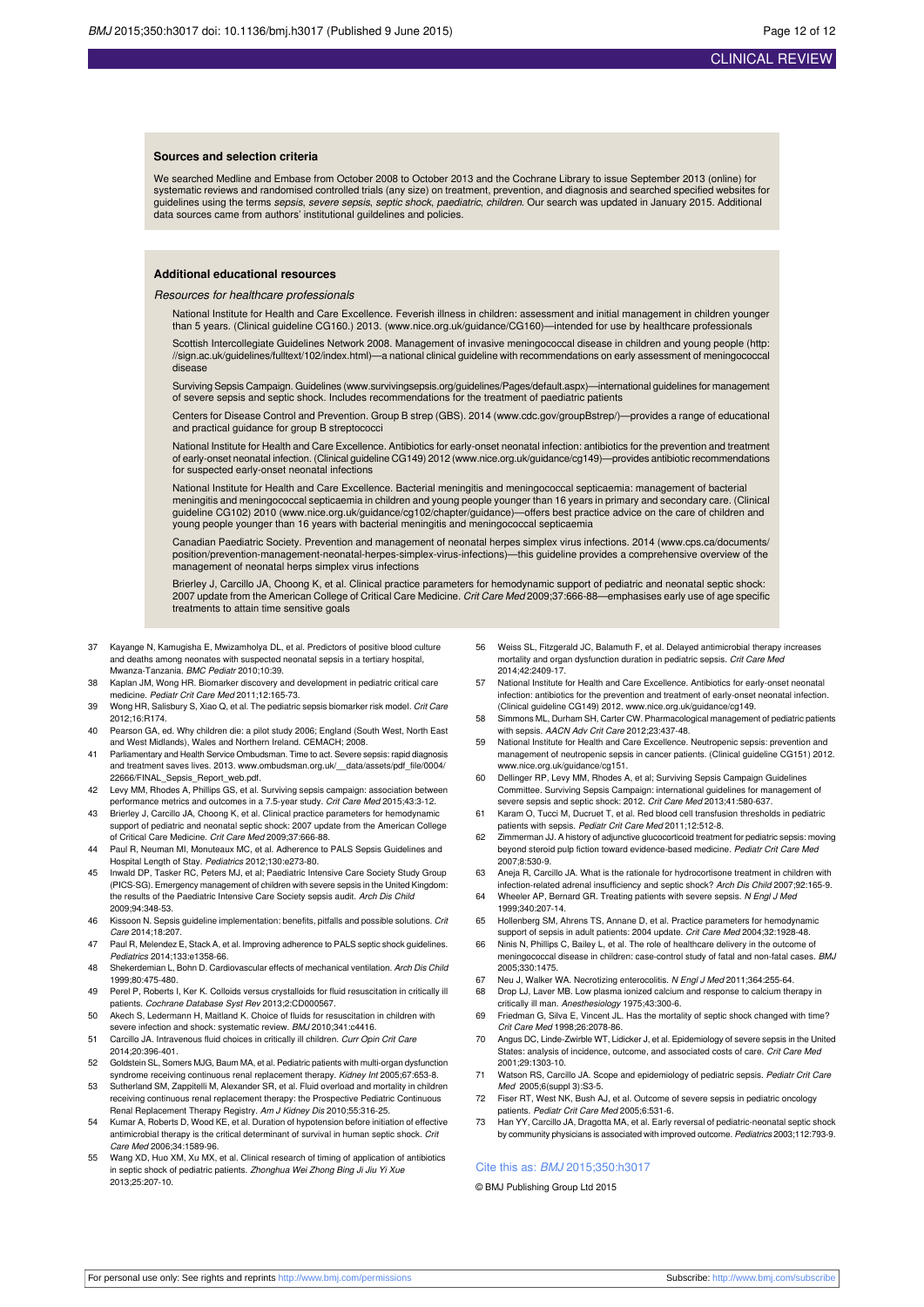#### **Sources and selection criteria**

We searched Medline and Embase from October 2008 to October 2013 and the Cochrane Library to issue September 2013 (online) for systematic reviews and randomised controlled trials (any size) on treatment, prevention, and diagnosis and searched specified websites for guidelines using the terms *sepsis, severe sepsis, septic shock, paediatric, children*. Our search was updated in January 2015. Additional<br>data sources came from authors' institutional guildelines and policies.

#### **Additional educational resources**

#### Resources for healthcare professionals

National Institute for Health and Care Excellence. Feverish illness in children: assessment and initial management in children younger than 5 years. (Clinical guideline CG160.) 2013. [\(www.nice.org.uk/guidance/CG160](http://www.nice.org.uk/guidance/CG160))—intended for use by healthcare professionals

Scottish Intercollegiate Guidelines Network 2008. Management of invasive meningococcal disease in children and young people [\(http:](http://sign.ac.uk/guidelines/fulltext/102/index.html) [//sign.ac.uk/guidelines/fulltext/102/index.html\)](http://sign.ac.uk/guidelines/fulltext/102/index.html)—a national clinical guideline with recommendations on early assessment of meningococcal disease

Surviving Sepsis Campaign. Guidelines [\(www.survivingsepsis.org/guidelines/Pages/default.aspx](http://www.survivingsepsis.org/guidelines/Pages/default.aspx))—international guidelines for management of severe sepsis and septic shock. Includes recommendations for the treatment of paediatric patients

Centers for Disease Control and Prevention. Group B strep (GBS). 2014 [\(www.cdc.gov/groupBstrep/\)](http://www.cdc.gov/groupBstrep/)—provides a range of educational and practical guidance for group B streptococci

National Institute for Health and Care Excellence. Antibiotics for early-onset neonatal infection: antibiotics for the prevention and treatment of early-onset neonatal infection. (Clinical guideline CG149) 2012 ([www.nice.org.uk/guidance/cg149](http://www.nice.org.uk/guidance/cg149))—provides antibiotic recommendations for suspected early-onset neonatal infections

National Institute for Health and Care Excellence. Bacterial meningitis and meningococcal septicaemia: management of bacterial meningitis and meningococcal septicaemia in children and young people younger than 16 years in primary and secondary care. (Clinical guideline CG102) 2010 [\(www.nice.org.uk/guidance/cg102/chapter/guidance](http://www.nice.org.uk/guidance/cg102/chapter/guidance))—offers best practice advice on the care of children and young people younger than 16 years with bacterial meningitis and meningococcal septicaemia

Canadian Paediatric Society. Prevention and management of neonatal herpes simplex virus infections. 2014 ([www.cps.ca/documents/](http://www.cps.ca/documents/position/prevention-management-neonatal-herpes-simplex-virus-infections)<br>[position/prevention-management-neonatal-herpes-simplex-virus-infections](http://www.cps.ca/documents/position/prevention-management-neonatal-herpes-simplex-virus-infections))—this guideline provid management of neonatal herps simplex virus infections

Brierley J, Carcillo JA, Choong K, et al. Clinical practice parameters for hemodynamic support of pediatric and neonatal septic shock: 2007 update from the American College of Critical Care Medicine. Crit Care Med 2009;37:666-88—emphasises early use of age specific treatments to attain time sensitive goals

- 37 Kayange N, Kamugisha E, Mwizamholya DL, et al. Predictors of positive blood culture and deaths among neonates with suspected neonatal sepsis in a tertiary hospital, Mwanza-Tanzania. BMC Pediatr 2010;10:39.
- 38 Kaplan JM, Wong HR. Biomarker discovery and development in pediatric critical care medicine. Pediatr Crit Care Med 2011;12:165-73.
- 39 Wong HR, Salisbury S, Xiao Q, et al. The pediatric sepsis biomarker risk model. Crit Care 2012;16:R174.
- 40 Pearson GA, ed. Why children die: a pilot study 2006; England (South West, North East and West Midlands), Wales and Northern Ireland. CEMACH; 2008.
- 41 Parliamentary and Health Service Ombudsman. Time to act. Severe sepsis: rapid diagnosis and treatment saves lives. 2013. www.ombudsman.org.uk/ data/assets/pdf\_file/0004/ [22666/FINAL\\_Sepsis\\_Report\\_web.pdf.](http://www.ombudsman.org.uk/__data/assets/pdf_file/0004/22666/FINAL_Sepsis_Report_web.pdf)
- 42 Levy MM, Rhodes A, Phillips GS, et al. Surviving sepsis campaign: association between performance metrics and outcomes in a 7.5-year study. Crit Care Med 2015;43:3-12.
- 43 Brierley J, Carcillo JA, Choong K, et al. Clinical practice parameters for hemodynamic support of pediatric and neonatal septic shock: 2007 update from the American College of Critical Care Medicine. Crit Care Med 2009;37:666-88.
- 44 Paul R, Neuman MI, Monuteaux MC, et al. Adherence to PALS Sepsis Guidelines and Hospital Length of Stay. Pediatrics 2012;130:e273-80.
- 45 Inwald DP, Tasker RC, Peters MJ, et al; Paediatric Intensive Care Society Study Group (PICS-SG). Emergency management of children with severe sepsis in the United Kingdom: the results of the Paediatric Intensive Care Society sepsis audit. Arch Dis Child 2009;94:348-53.
- 46 Kissoon N. Sepsis guideline implementation: benefits, pitfalls and possible solutions. Crit Care 2014;18:207.
- 47 Paul R, Melendez E, Stack A, et al. Improving adherence to PALS septic shock guidelines. Pediatrics 2014;133:e1358-66.
- 48 Shekerdemian L, Bohn D. Cardiovascular effects of mechanical ventilation. Arch Dis Child 1999;80:475-480.
- 49 Perel P, Roberts I, Ker K. Colloids versus crystalloids for fluid resuscitation in critically ill patients. Cochrane Database Syst Rev 2013;2:CD000567.
- 50 Akech S, Ledermann H, Maitland K. Choice of fluids for resuscitation in children with severe infection and shock: systematic review. BMJ 2010;341:c4416.
- 51 Carcillo JA. Intravenous fluid choices in critically ill children. Curr Opin Crit Care 2014;20:396-401.
- 52 Goldstein SL, Somers MJG, Baum MA, et al. Pediatric patients with multi-organ dysfunction syndrome receiving continuous renal replacement therapy. Kidney Int 2005;67:653-8.
- 53 Sutherland SM, Zappitelli M, Alexander SR, et al. Fluid overload and mortality in children receiving continuous renal replacement therapy: the Prospective Pediatric Continuous Renal Replacement Therapy Registry. Am J Kidney Dis 2010;55:316-25.
- 54 Kumar A, Roberts D, Wood KE, et al. Duration of hypotension before initiation of effective antimicrobial therapy is the critical determinant of survival in human septic shock. Criti Care Med 2006;34:1589-96.
- 55 Wang XD, Huo XM, Xu MX, et al. Clinical research of timing of application of antibiotics in septic shock of pediatric patients. Zhonghua Wei Zhong Bing Ji Jiu Yi Xue 2013;25:207-10.
- 56 Weiss SL, Fitzgerald JC, Balamuth F, et al. Delayed antimicrobial therapy increases mortality and organ dysfunction duration in pediatric sepsis. Crit Care Med 2014;42:2409-17.
- 57 National Institute for Health and Care Excellence. Antibiotics for early-onset neonatal infection: antibiotics for the prevention and treatment of early-onset neonatal infection. (Clinical guideline CG149) 2012. [www.nice.org.uk/guidance/cg149.](http://www.nice.org.uk/guidance/cg149)
- 58 Simmons ML, Durham SH, Carter CW. Pharmacological management of pedi with sensis. AACN Adv Crit Care 2012;23:437-48.
- 59 National Institute for Health and Care Excellence. Neutropenic sepsis: prevention and management of neutropenic sepsis in cancer patients. (Clinical guideline CG151) 2012. [www.nice.org.uk/guidance/cg151](http://www.nice.org.uk/guidance/cg151).
- 60 Dellinger RP, Levy MM, Rhodes A, et al; Surviving Sepsis Campaign Guidelines Committee. Surviving Sepsis Campaign: international guidelines for management of severe sepsis and septic shock: 2012. Crit Care Med 2013;41:580-637.
- Karam O, Tucci M, Ducruet T, et al. Red blood cell transfusion thresholds in pediatric patients with sepsis. Pediatr Crit Care Med 2011;12:512-8.
- 62 Zimmerman JJ. A history of adjunctive glucocorticoid treatment for pediatric sepsis: moving beyond steroid pulp fiction toward evidence-based medicine. Pediatr Crit Care Med 2007;8:530-9.
- 63 Aneja R, Carcillo JA. What is the rationale for hydrocortisone treatment in children with infection-related adrenal insufficiency and septic shock? Arch Dis Child 2007;92:165-9.
- 64 Wheeler AP, Bernard GR. Treating patients with severe sepsis. N Engl J Med 1999;340:207-14.
- 65 Hollenberg SM, Ahrens TS, Annane D, et al. Practice parameters for hemodynamic support of sepsis in adult patients: 2004 update. Crit Care Med 2004;32:1928-48.
- 66 Ninis N, Phillips C, Bailey L, et al. The role of healthcare delivery in the outcome of meningococcal disease in children: case-control study of fatal and non-fatal cases. BMJ 2005;330:1475.
- Neu J, Walker WA. Necrotizing enterocolitis. N Engl J Med 2011;364:255-64.
- 68 Drop LJ, Laver MB. Low plasma ionized calcium and response to calcium therapy in critically ill man. Anesthesiology 1975;43:300-6.
- 69 Friedman G, Silva E, Vincent JL. Has the mortality of septic shock changed with time? Crit Care Med 1998;26:2078-86.
- 70 Angus DC, Linde-Zwirble WT, Lidicker J, et al. Epidemiology of severe sepsis in the United States: analysis of incidence, outcome, and associated costs of care. Crit Care Med 2001;29:1303-10.
- 71 Watson RS, Carcillo JA. Scope and epidemiology of pediatric sepsis. Pediatr Crit Care Med 2005;6(suppl 3):S3-5.
- 72 Fiser RT, West NK, Bush AJ, et al. Outcome of severe sepsis in pediatric oncology patients. Pediatr Crit Care Med 2005;6:531-6.
- 73 Han YY, Carcillo JA, Dragotta MA, et al. Early reversal of pediatric-neonatal septic shock by community physicians is associated with improved outcome. Pediatrics 2003;112:793-9.

#### Cite this as: BMJ 2015;350:h3017

© BMJ Publishing Group Ltd 2015